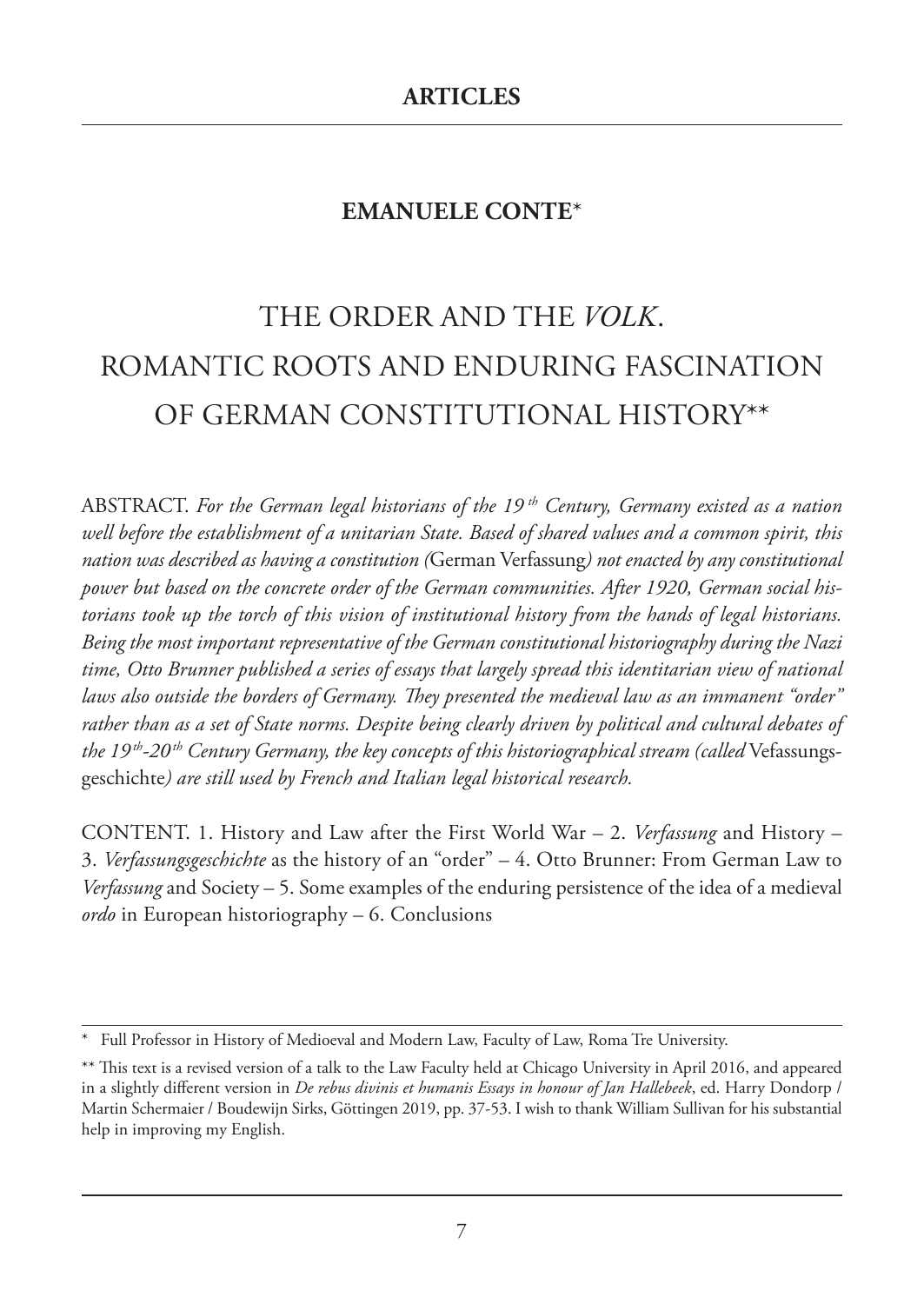# **EMANUELE CONTE**\*

# THE ORDER AND THE *VOLK*. ROMANTIC ROOTS AND ENDURING FASCINATION OF GERMAN CONSTITUTIONAL HISTORY\*\*

ABSTRACT. *For the German legal historians of the 19 th Century, Germany existed as a nation well before the establishment of a unitarian State. Based of shared values and a common spirit, this nation was described as having a constitution (*German Verfassung*) not enacted by any constitutional power but based on the concrete order of the German communities. After 1920, German social historians took up the torch of this vision of institutional history from the hands of legal historians. Being the most important representative of the German constitutional historiography during the Nazi time, Otto Brunner published a series of essays that largely spread this identitarian view of national laws also outside the borders of Germany. They presented the medieval law as an immanent "order" rather than as a set of State norms. Despite being clearly driven by political and cultural debates of the 19 th-20 th Century Germany, the key concepts of this historiographical stream (called* Vefassungsgeschichte*) are still used by French and Italian legal historical research.*

CONTENT. 1. History and Law after the First World War – 2. *Verfassung* and History – 3. *Verfassungsgeschichte* as the history of an "order" – 4. Otto Brunner: From German Law to *Verfassung* and Society – 5. Some examples of the enduring persistence of the idea of a medieval *ordo* in European historiography – 6. Conclusions

Full Professor in History of Medioeval and Modern Law, Faculty of Law, Roma Tre University.

<sup>\*\*</sup> This text is a revised version of a talk to the Law Faculty held at Chicago University in April 2016, and appeared in a slightly different version in *De rebus divinis et humanis Essays in honour of Jan Hallebeek*, ed. Harry Dondorp / Martin Schermaier / Boudewijn Sirks, Göttingen 2019, pp. 37-53. I wish to thank William Sullivan for his substantial help in improving my English.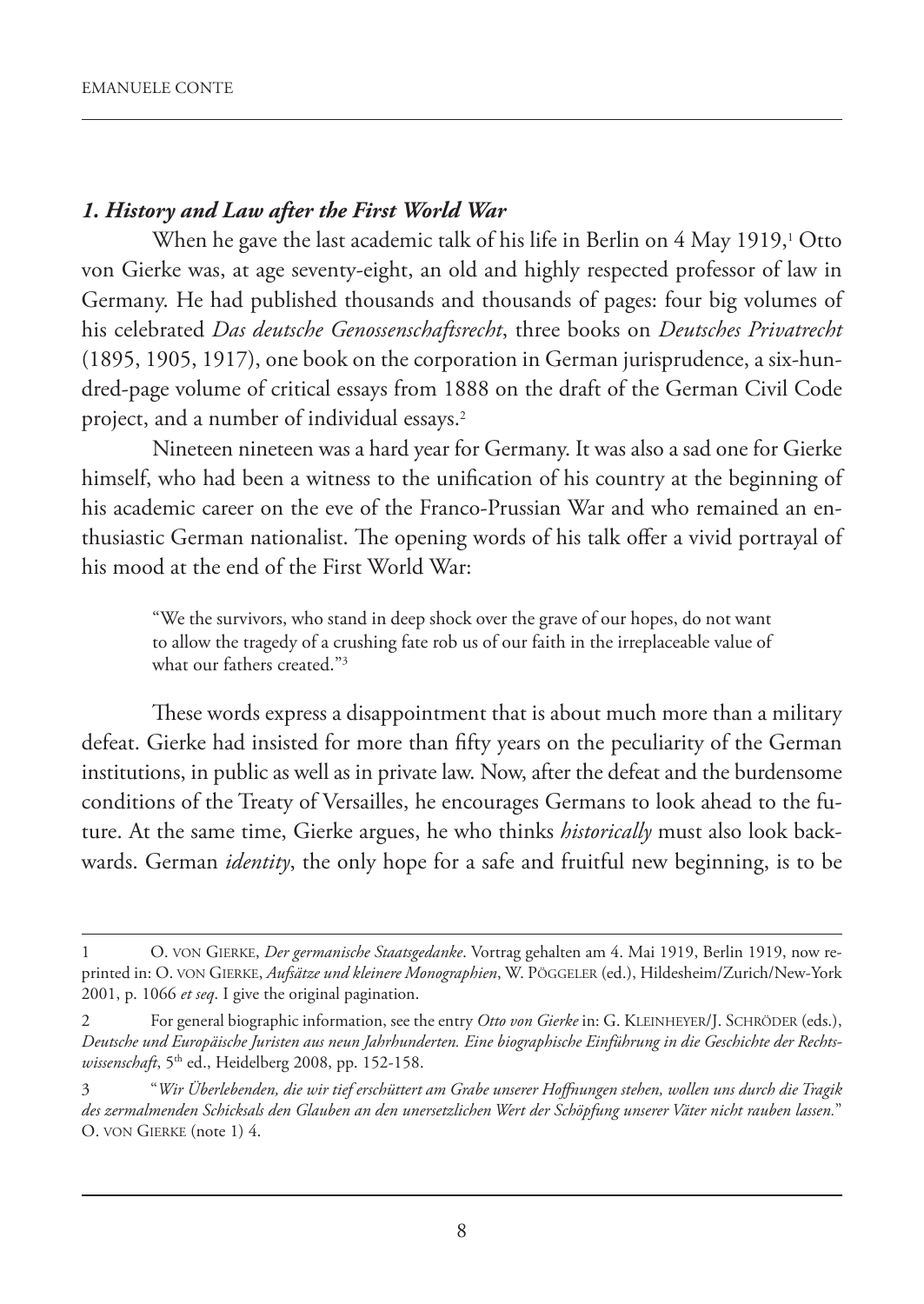## *1. History and Law after the First World War*

When he gave the last academic talk of his life in Berlin on 4 May 1919,<sup>1</sup> Otto von Gierke was, at age seventy-eight, an old and highly respected professor of law in Germany. He had published thousands and thousands of pages: four big volumes of his celebrated *Das deutsche Genossenschaftsrecht*, three books on *Deutsches Privatrecht* (1895, 1905, 1917), one book on the corporation in German jurisprudence, a six-hundred-page volume of critical essays from 1888 on the draft of the German Civil Code project, and a number of individual essays.<sup>2</sup>

Nineteen nineteen was a hard year for Germany. It was also a sad one for Gierke himself, who had been a witness to the unification of his country at the beginning of his academic career on the eve of the Franco-Prussian War and who remained an enthusiastic German nationalist. The opening words of his talk offer a vivid portrayal of his mood at the end of the First World War:

"We the survivors, who stand in deep shock over the grave of our hopes, do not want to allow the tragedy of a crushing fate rob us of our faith in the irreplaceable value of what our fathers created."3

These words express a disappointment that is about much more than a military defeat. Gierke had insisted for more than fifty years on the peculiarity of the German institutions, in public as well as in private law. Now, after the defeat and the burdensome conditions of the Treaty of Versailles, he encourages Germans to look ahead to the future. At the same time, Gierke argues, he who thinks *historically* must also look backwards. German *identity*, the only hope for a safe and fruitful new beginning, is to be

<sup>1</sup> O. VON GIERKE, *Der germanische Staatsgedanke*. Vortrag gehalten am 4. Mai 1919, Berlin 1919, now reprinted in: O. VON GIERKE, *Aufsätze und kleinere Monographien*, W. PÖGGELER (ed.), Hildesheim/Zurich/New-York 2001, p. 1066 *et seq*. I give the original pagination.

<sup>2</sup> For general biographic information, see the entry *Otto von Gierke* in: G. KLEINHEYER/J. SCHRÖDER (eds.), *Deutsche und Europäische Juristen aus neun Jahrhunderten. Eine biographische Einführung in die Geschichte der Rechtswissenschaft*, 5th ed., Heidelberg 2008, pp. 152-158.

<sup>3</sup> "*Wir Überlebenden, die wir tief erschüttert am Grabe unserer Hoffnungen stehen, wollen uns durch die Tragik des zermalmenden Schicksals den Glauben an den unersetzlichen Wert der Schöpfung unserer Väter nicht rauben lassen.*" O. VON GIERKE (note 1) 4.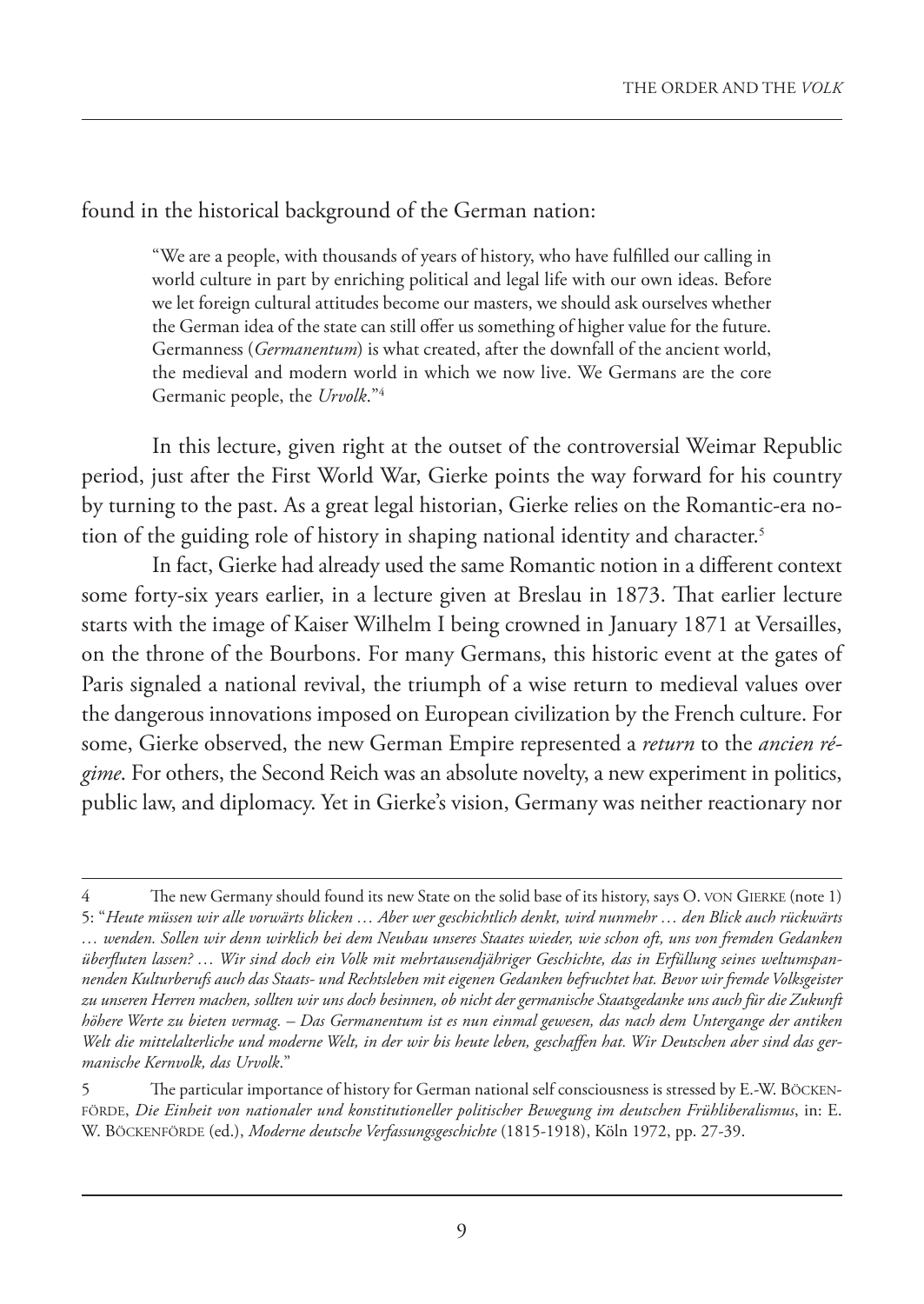found in the historical background of the German nation:

"We are a people, with thousands of years of history, who have fulfilled our calling in world culture in part by enriching political and legal life with our own ideas. Before we let foreign cultural attitudes become our masters, we should ask ourselves whether the German idea of the state can still offer us something of higher value for the future. Germanness (*Germanentum*) is what created, after the downfall of the ancient world, the medieval and modern world in which we now live. We Germans are the core Germanic people, the *Urvolk*."4

In this lecture, given right at the outset of the controversial Weimar Republic period, just after the First World War, Gierke points the way forward for his country by turning to the past. As a great legal historian, Gierke relies on the Romantic-era notion of the guiding role of history in shaping national identity and character.<sup>5</sup>

In fact, Gierke had already used the same Romantic notion in a different context some forty-six years earlier, in a lecture given at Breslau in 1873. That earlier lecture starts with the image of Kaiser Wilhelm I being crowned in January 1871 at Versailles, on the throne of the Bourbons. For many Germans, this historic event at the gates of Paris signaled a national revival, the triumph of a wise return to medieval values over the dangerous innovations imposed on European civilization by the French culture. For some, Gierke observed, the new German Empire represented a *return* to the *ancien régime*. For others, the Second Reich was an absolute novelty, a new experiment in politics, public law, and diplomacy. Yet in Gierke's vision, Germany was neither reactionary nor

The new Germany should found its new State on the solid base of its history, says O. VON GIERKE (note 1) 5: "*Heute müssen wir alle vorwärts blicken … Aber wer geschichtlich denkt, wird nunmehr … den Blick auch rückwärts … wenden. Sollen wir denn wirklich bei dem Neubau unseres Staates wieder, wie schon oft, uns von fremden Gedanken überfluten lassen? … Wir sind doch ein Volk mit mehrtausendjähriger Geschichte, das in Erfüllung seines weltumspannenden Kulturberufs auch das Staats- und Rechtsleben mit eigenen Gedanken befruchtet hat. Bevor wir fremde Volksgeister zu unseren Herren machen, sollten wir uns doch besinnen, ob nicht der germanische Staatsgedanke uns auch für die Zukunft höhere Werte zu bieten vermag. – Das Germanentum ist es nun einmal gewesen, das nach dem Untergange der antiken Welt die mittelalterliche und moderne Welt, in der wir bis heute leben, geschaffen hat. Wir Deutschen aber sind das germanische Kernvolk, das Urvolk*."

<sup>5</sup> The particular importance of history for German national self consciousness is stressed by E.-W. BÖCKEN-FÖRDE, *Die Einheit von nationaler und konstitutioneller politischer Bewegung im deutschen Frühliberalismus*, in: E. W. BÖCKENFÖRDE (ed.), *Moderne deutsche Verfassungsgeschichte* (1815-1918), Köln 1972, pp. 27-39.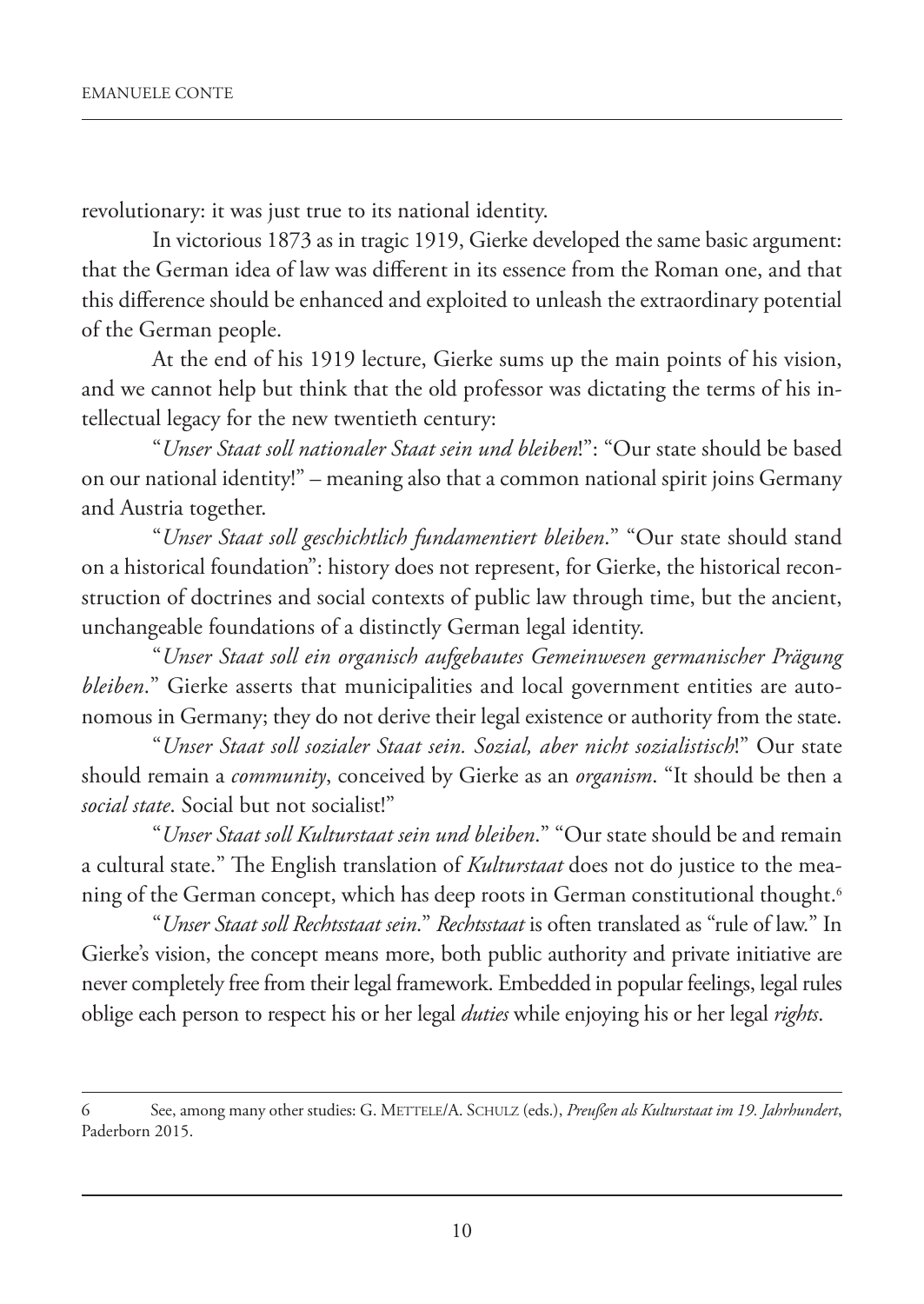revolutionary: it was just true to its national identity.

In victorious 1873 as in tragic 1919, Gierke developed the same basic argument: that the German idea of law was different in its essence from the Roman one, and that this difference should be enhanced and exploited to unleash the extraordinary potential of the German people.

At the end of his 1919 lecture, Gierke sums up the main points of his vision, and we cannot help but think that the old professor was dictating the terms of his intellectual legacy for the new twentieth century:

"*Unser Staat soll nationaler Staat sein und bleiben*!": "Our state should be based on our national identity!" – meaning also that a common national spirit joins Germany and Austria together.

"*Unser Staat soll geschichtlich fundamentiert bleiben*." "Our state should stand on a historical foundation": history does not represent, for Gierke, the historical reconstruction of doctrines and social contexts of public law through time, but the ancient, unchangeable foundations of a distinctly German legal identity.

"*Unser Staat soll ein organisch aufgebautes Gemeinwesen germanischer Prägung bleiben*." Gierke asserts that municipalities and local government entities are autonomous in Germany; they do not derive their legal existence or authority from the state.

"*Unser Staat soll sozialer Staat sein. Sozial, aber nicht sozialistisch*!" Our state should remain a *community*, conceived by Gierke as an *organism*. "It should be then a *social state*. Social but not socialist!"

"*Unser Staat soll Kulturstaat sein und bleiben*." "Our state should be and remain a cultural state." The English translation of *Kulturstaat* does not do justice to the meaning of the German concept, which has deep roots in German constitutional thought.<sup>6</sup>

"*Unser Staat soll Rechtsstaat sein*." *Rechtsstaat* is often translated as "rule of law." In Gierke's vision, the concept means more, both public authority and private initiative are never completely free from their legal framework. Embedded in popular feelings, legal rules oblige each person to respect his or her legal *duties* while enjoying his or her legal *rights*.

<sup>6</sup> See, among many other studies: G. METTELE/A. SCHULZ (eds.), *Preußen als Kulturstaat im 19. Jahrhundert*, Paderborn 2015.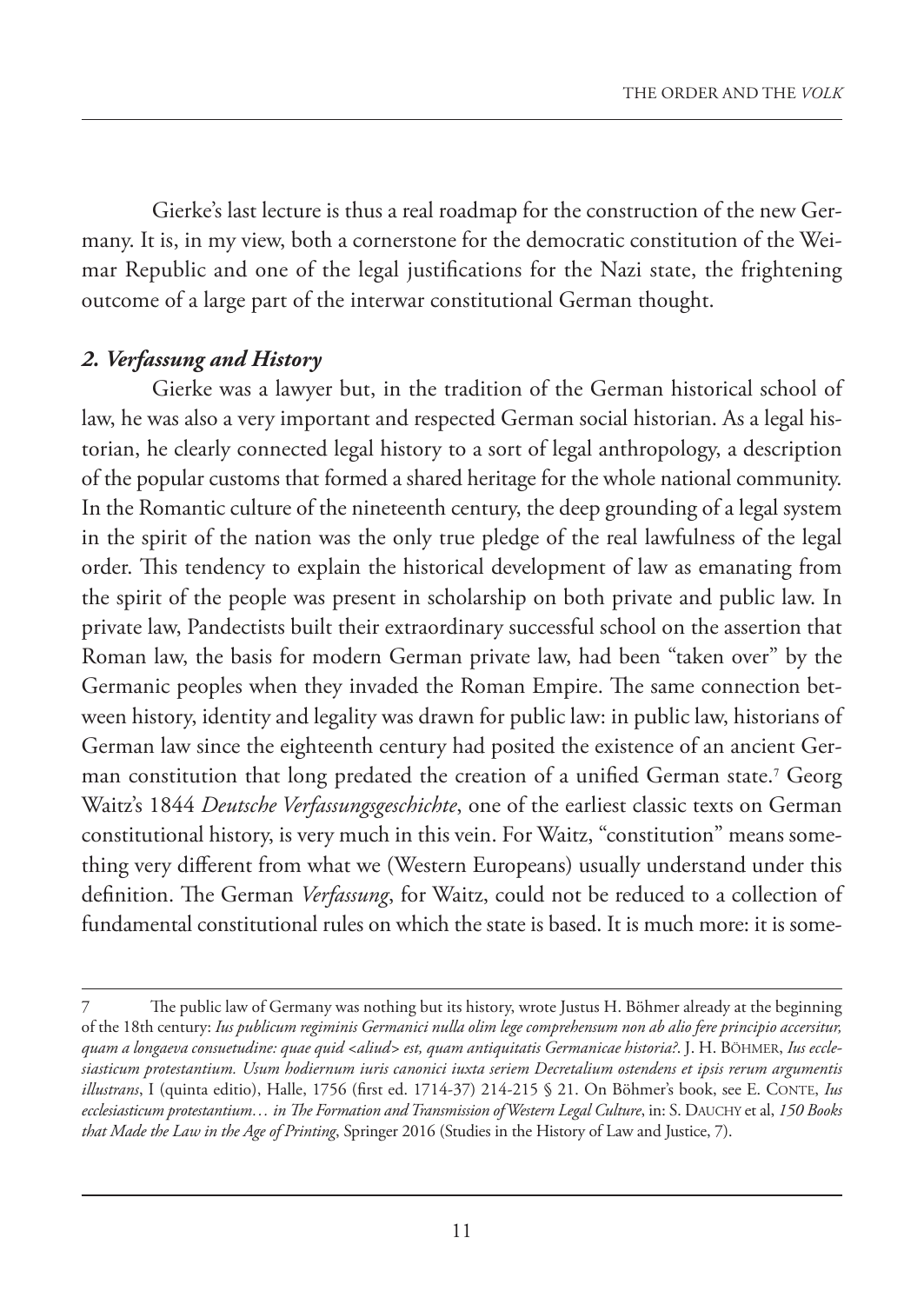Gierke's last lecture is thus a real roadmap for the construction of the new Germany. It is, in my view, both a cornerstone for the democratic constitution of the Weimar Republic and one of the legal justifications for the Nazi state, the frightening outcome of a large part of the interwar constitutional German thought.

#### *2. Verfassung and History*

Gierke was a lawyer but, in the tradition of the German historical school of law, he was also a very important and respected German social historian. As a legal historian, he clearly connected legal history to a sort of legal anthropology, a description of the popular customs that formed a shared heritage for the whole national community. In the Romantic culture of the nineteenth century, the deep grounding of a legal system in the spirit of the nation was the only true pledge of the real lawfulness of the legal order. This tendency to explain the historical development of law as emanating from the spirit of the people was present in scholarship on both private and public law. In private law, Pandectists built their extraordinary successful school on the assertion that Roman law, the basis for modern German private law, had been "taken over" by the Germanic peoples when they invaded the Roman Empire. The same connection between history, identity and legality was drawn for public law: in public law, historians of German law since the eighteenth century had posited the existence of an ancient German constitution that long predated the creation of a unified German state.<sup>7</sup> Georg Waitz's 1844 *Deutsche Verfassungsgeschichte*, one of the earliest classic texts on German constitutional history, is very much in this vein. For Waitz, "constitution" means something very different from what we (Western Europeans) usually understand under this definition. The German *Verfassung*, for Waitz, could not be reduced to a collection of fundamental constitutional rules on which the state is based. It is much more: it is some-

The public law of Germany was nothing but its history, wrote Justus H. Böhmer already at the beginning of the 18th century: *Ius publicum regiminis Germanici nulla olim lege comprehensum non ab alio fere principio accersitur, quam a longaeva consuetudine: quae quid <aliud> est, quam antiquitatis Germanicae historia?*. J. H. BÖHMER, *Ius ecclesiasticum protestantium. Usum hodiernum iuris canonici iuxta seriem Decretalium ostendens et ipsis rerum argumentis illustrans*, I (quinta editio), Halle, 1756 (first ed. 1714-37) 214-215 § 21. On Böhmer's book, see E. CONTE, *Ius ecclesiasticum protestantium… in The Formation and Transmission of Western Legal Culture*, in: S. DAUCHY et al, *150 Books that Made the Law in the Age of Printing*, Springer 2016 (Studies in the History of Law and Justice, 7).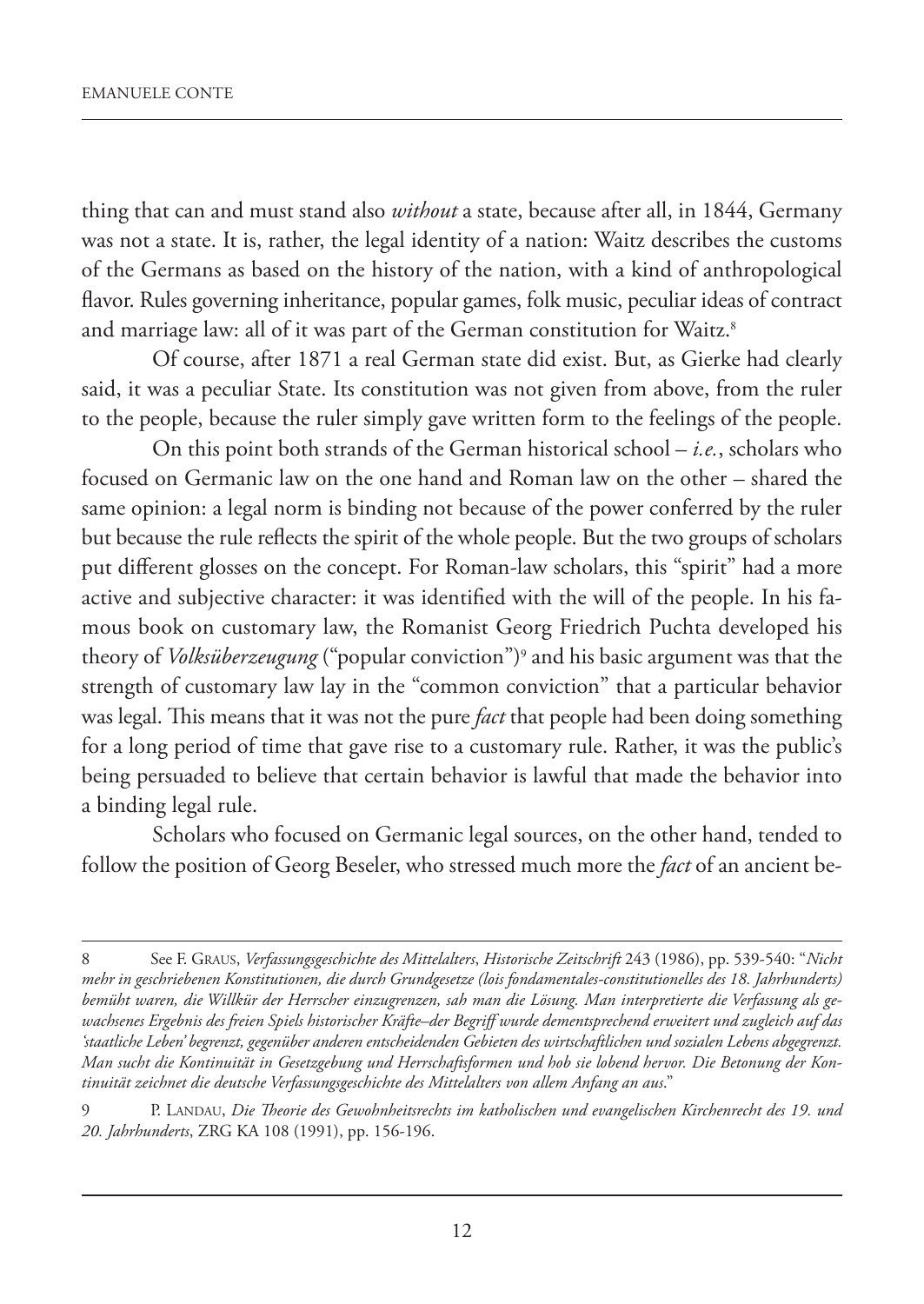thing that can and must stand also *without* a state, because after all, in 1844, Germany was not a state. It is, rather, the legal identity of a nation: Waitz describes the customs of the Germans as based on the history of the nation, with a kind of anthropological flavor. Rules governing inheritance, popular games, folk music, peculiar ideas of contract and marriage law: all of it was part of the German constitution for Waitz.<sup>8</sup>

Of course, after 1871 a real German state did exist. But, as Gierke had clearly said, it was a peculiar State. Its constitution was not given from above, from the ruler to the people, because the ruler simply gave written form to the feelings of the people.

On this point both strands of the German historical school – *i.e.*, scholars who focused on Germanic law on the one hand and Roman law on the other – shared the same opinion: a legal norm is binding not because of the power conferred by the ruler but because the rule reflects the spirit of the whole people. But the two groups of scholars put different glosses on the concept. For Roman-law scholars, this "spirit" had a more active and subjective character: it was identified with the will of the people. In his famous book on customary law, the Romanist Georg Friedrich Puchta developed his theory of *Volksüberzeugung* ("popular conviction")<sup>9</sup> and his basic argument was that the strength of customary law lay in the "common conviction" that a particular behavior was legal. This means that it was not the pure *fact* that people had been doing something for a long period of time that gave rise to a customary rule. Rather, it was the public's being persuaded to believe that certain behavior is lawful that made the behavior into a binding legal rule.

Scholars who focused on Germanic legal sources, on the other hand, tended to follow the position of Georg Beseler, who stressed much more the *fact* of an ancient be-

<sup>8</sup> See F. GRAUS, *Verfassungsgeschichte des Mittelalters*, *Historische Zeitschrift* 243 (1986), pp. 539-540: "*Nicht mehr in geschriebenen Konstitutionen, die durch Grundgesetze (lois fondamentales-constitutionelles des 18. Jahrhunderts) bemüht waren, die Willkür der Herrscher einzugrenzen, sah man die Lösung. Man interpretierte die Verfassung als gewachsenes Ergebnis des freien Spiels historischer Kräfte–der Begriff wurde dementsprechend erweitert und zugleich auf das 'staatliche Leben' begrenzt, gegenüber anderen entscheidenden Gebieten des wirtschaftlichen und sozialen Lebens abgegrenzt. Man sucht die Kontinuität in Gesetzgebung und Herrschaftsformen und hob sie lobend hervor. Die Betonung der Kontinuität zeichnet die deutsche Verfassungsgeschichte des Mittelalters von allem Anfang an aus*."

<sup>9</sup> P. LANDAU, *Die Theorie des Gewohnheitsrechts im katholischen und evangelischen Kirchenrecht des 19. und 20. Jahrhunderts*, ZRG KA 108 (1991), pp. 156-196.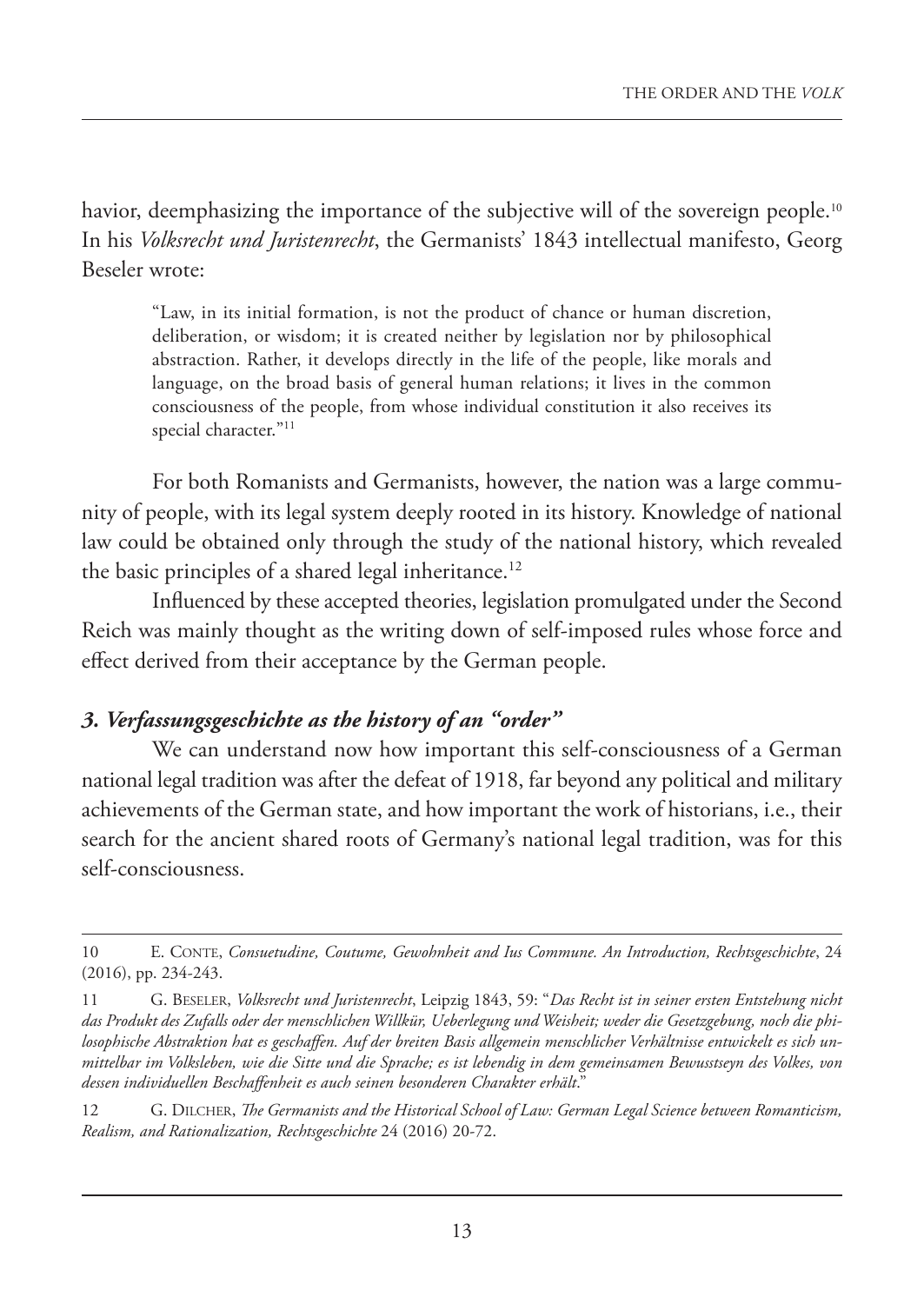havior, deemphasizing the importance of the subjective will of the sovereign people.<sup>10</sup> In his *Volksrecht und Juristenrecht*, the Germanists' 1843 intellectual manifesto, Georg Beseler wrote:

"Law, in its initial formation, is not the product of chance or human discretion, deliberation, or wisdom; it is created neither by legislation nor by philosophical abstraction. Rather, it develops directly in the life of the people, like morals and language, on the broad basis of general human relations; it lives in the common consciousness of the people, from whose individual constitution it also receives its special character."<sup>11</sup>

For both Romanists and Germanists, however, the nation was a large community of people, with its legal system deeply rooted in its history. Knowledge of national law could be obtained only through the study of the national history, which revealed the basic principles of a shared legal inheritance.<sup>12</sup>

Influenced by these accepted theories, legislation promulgated under the Second Reich was mainly thought as the writing down of self-imposed rules whose force and effect derived from their acceptance by the German people.

## *3. Verfassungsgeschichte as the history of an "order"*

We can understand now how important this self-consciousness of a German national legal tradition was after the defeat of 1918, far beyond any political and military achievements of the German state, and how important the work of historians, i.e., their search for the ancient shared roots of Germany's national legal tradition, was for this self-consciousness.

<sup>10</sup> E. CONTE, *Consuetudine, Coutume, Gewohnheit and Ius Commune. An Introduction, Rechtsgeschichte*, 24 (2016), pp. 234-243.

<sup>11</sup> G. BESELER, *Volksrecht und Juristenrecht*, Leipzig 1843, 59: "*Das Recht ist in seiner ersten Entstehung nicht das Produkt des Zufalls oder der menschlichen Willkür, Ueberlegung und Weisheit; weder die Gesetzgebung, noch die philosophische Abstraktion hat es geschaffen. Auf der breiten Basis allgemein menschlicher Verhältnisse entwickelt es sich unmittelbar im Volksleben, wie die Sitte und die Sprache; es ist lebendig in dem gemeinsamen Bewusstseyn des Volkes, von dessen individuellen Beschaffenheit es auch seinen besonderen Charakter erhält*."

<sup>12</sup> G. DILCHER, *The Germanists and the Historical School of Law: German Legal Science between Romanticism, Realism, and Rationalization, Rechtsgeschichte* 24 (2016) 20-72.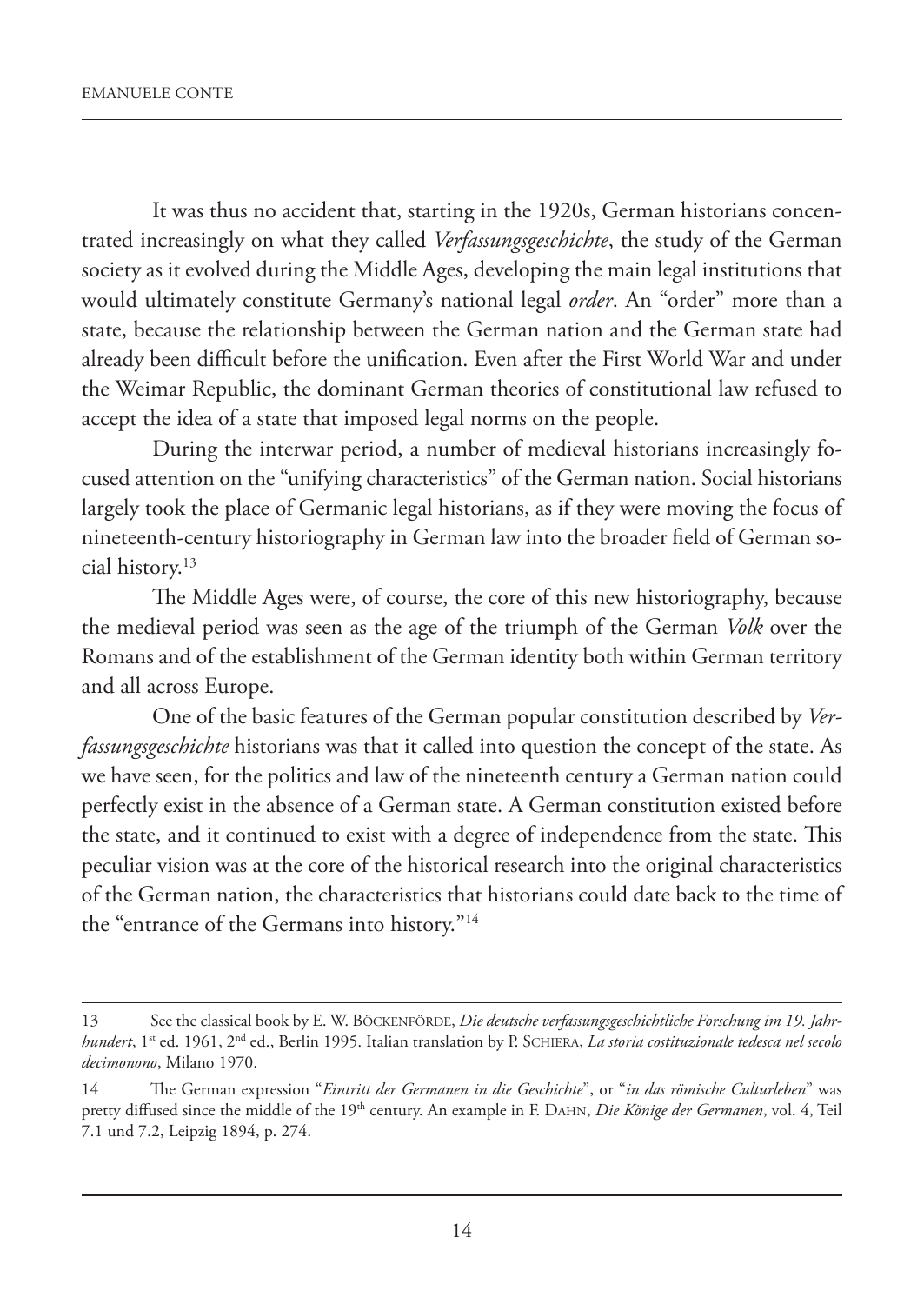It was thus no accident that, starting in the 1920s, German historians concentrated increasingly on what they called *Verfassungsgeschichte*, the study of the German society as it evolved during the Middle Ages, developing the main legal institutions that would ultimately constitute Germany's national legal *order*. An "order" more than a state, because the relationship between the German nation and the German state had already been difficult before the unification. Even after the First World War and under the Weimar Republic, the dominant German theories of constitutional law refused to accept the idea of a state that imposed legal norms on the people.

During the interwar period, a number of medieval historians increasingly focused attention on the "unifying characteristics" of the German nation. Social historians largely took the place of Germanic legal historians, as if they were moving the focus of nineteenth-century historiography in German law into the broader field of German social history.13

The Middle Ages were, of course, the core of this new historiography, because the medieval period was seen as the age of the triumph of the German *Volk* over the Romans and of the establishment of the German identity both within German territory and all across Europe.

One of the basic features of the German popular constitution described by *Verfassungsgeschichte* historians was that it called into question the concept of the state. As we have seen, for the politics and law of the nineteenth century a German nation could perfectly exist in the absence of a German state. A German constitution existed before the state, and it continued to exist with a degree of independence from the state. This peculiar vision was at the core of the historical research into the original characteristics of the German nation, the characteristics that historians could date back to the time of the "entrance of the Germans into history."14

<sup>13</sup> See the classical book by E. W. BÖCKENFÖRDE, *Die deutsche verfassungsgeschichtliche Forschung im 19. Jahrhundert*, 1st ed. 1961, 2nd ed., Berlin 1995. Italian translation by P. SCHIERA, *La storia costituzionale tedesca nel secolo decimonono*, Milano 1970.

<sup>14</sup> The German expression "*Eintritt der Germanen in die Geschichte*", or "*in das römische Culturleben*" was pretty diffused since the middle of the 19th century. An example in F. DAHN, *Die Könige der Germanen*, vol. 4, Teil 7.1 und 7.2, Leipzig 1894, p. 274.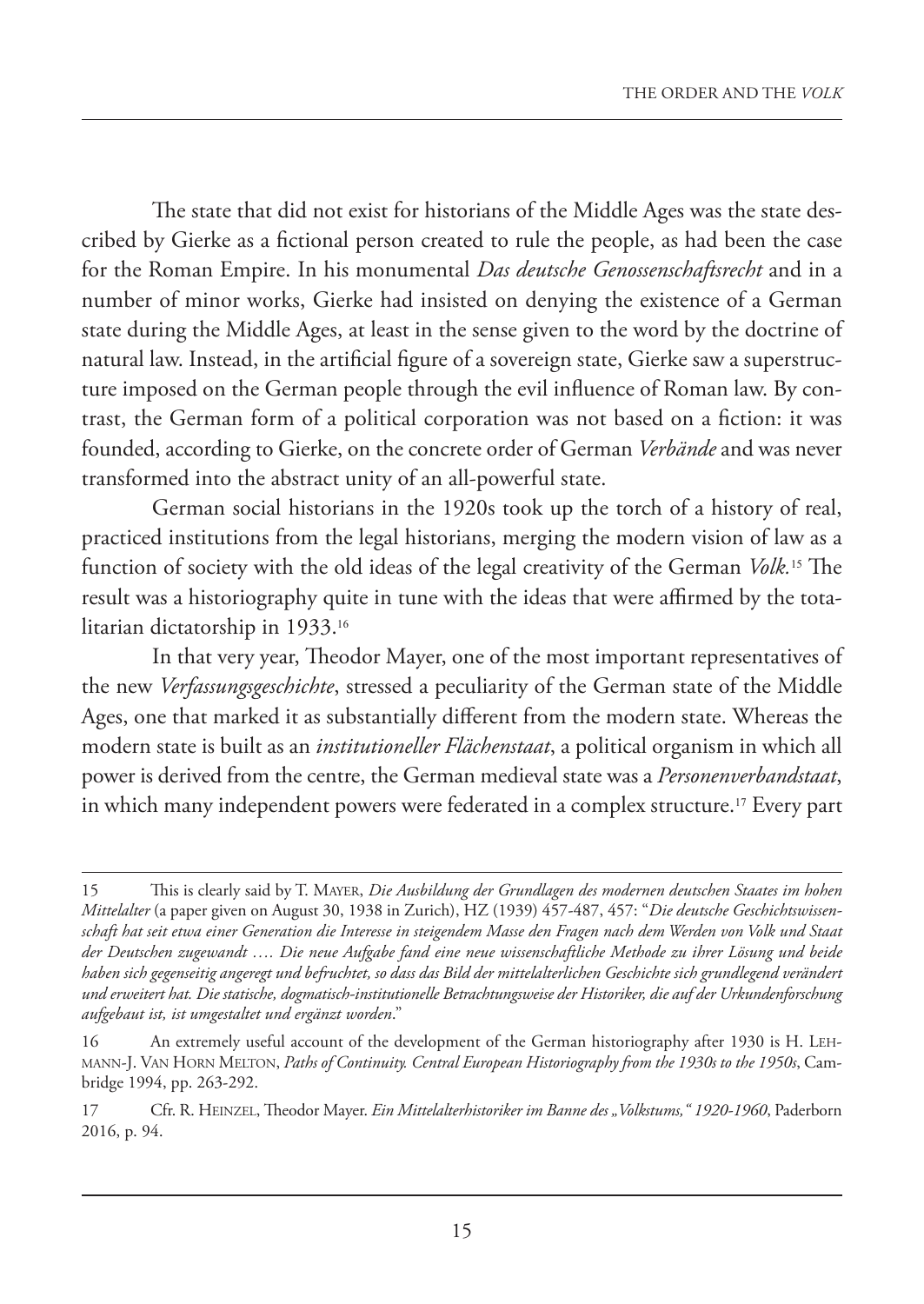The state that did not exist for historians of the Middle Ages was the state described by Gierke as a fictional person created to rule the people, as had been the case for the Roman Empire. In his monumental *Das deutsche Genossenschaftsrecht* and in a number of minor works, Gierke had insisted on denying the existence of a German state during the Middle Ages, at least in the sense given to the word by the doctrine of natural law. Instead, in the artificial figure of a sovereign state, Gierke saw a superstructure imposed on the German people through the evil influence of Roman law. By contrast, the German form of a political corporation was not based on a fiction: it was founded, according to Gierke, on the concrete order of German *Verbände* and was never transformed into the abstract unity of an all-powerful state.

German social historians in the 1920s took up the torch of a history of real, practiced institutions from the legal historians, merging the modern vision of law as a function of society with the old ideas of the legal creativity of the German *Volk.*15 The result was a historiography quite in tune with the ideas that were affirmed by the totalitarian dictatorship in 1933. 16

In that very year, Theodor Mayer, one of the most important representatives of the new *Verfassungsgeschichte*, stressed a peculiarity of the German state of the Middle Ages, one that marked it as substantially different from the modern state. Whereas the modern state is built as an *institutioneller Flächenstaat*, a political organism in which all power is derived from the centre, the German medieval state was a *Personenverbandstaat*, in which many independent powers were federated in a complex structure.<sup>17</sup> Every part

<sup>15</sup> This is clearly said by T. MAYER, *Die Ausbildung der Grundlagen des modernen deutschen Staates im hohen Mittelalter* (a paper given on August 30, 1938 in Zurich), HZ (1939) 457-487, 457: "*Die deutsche Geschichtswissenschaft hat seit etwa einer Generation die Interesse in steigendem Masse den Fragen nach dem Werden von Volk und Staat der Deutschen zugewandt …. Die neue Aufgabe fand eine neue wissenschaftliche Methode zu ihrer Lösung und beide haben sich gegenseitig angeregt und befruchtet, so dass das Bild der mittelalterlichen Geschichte sich grundlegend verändert und erweitert hat. Die statische, dogmatisch-institutionelle Betrachtungsweise der Historiker, die auf der Urkundenforschung aufgebaut ist, ist umgestaltet und ergänzt worden*."

<sup>16</sup> An extremely useful account of the development of the German historiography after 1930 is H. LEH-MANN-J. VAN HORN MELTON, *Paths of Continuity. Central European Historiography from the 1930s to the 1950s*, Cambridge 1994, pp. 263-292.

<sup>17</sup> Cfr. R. HEINZEL, Theodor Mayer. *Ein Mittelalterhistoriker im Banne des "Volkstums," 1920-1960*, Paderborn 2016, p. 94.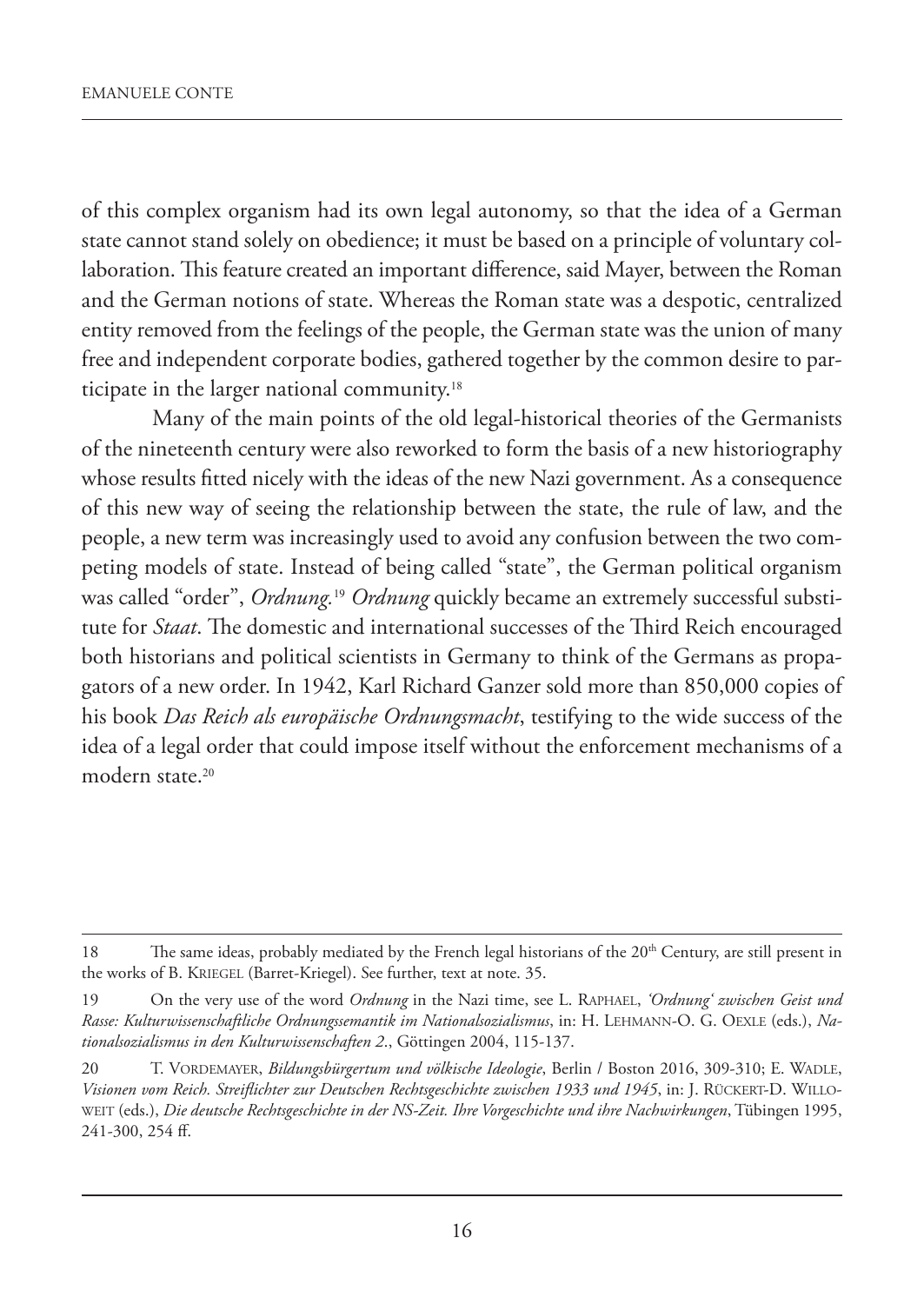of this complex organism had its own legal autonomy, so that the idea of a German state cannot stand solely on obedience; it must be based on a principle of voluntary collaboration. This feature created an important difference, said Mayer, between the Roman and the German notions of state. Whereas the Roman state was a despotic, centralized entity removed from the feelings of the people, the German state was the union of many free and independent corporate bodies, gathered together by the common desire to participate in the larger national community.<sup>18</sup>

Many of the main points of the old legal-historical theories of the Germanists of the nineteenth century were also reworked to form the basis of a new historiography whose results fitted nicely with the ideas of the new Nazi government. As a consequence of this new way of seeing the relationship between the state, the rule of law, and the people, a new term was increasingly used to avoid any confusion between the two competing models of state. Instead of being called "state", the German political organism was called "order", *Ordnung.*<sup>19</sup> *Ordnung* quickly became an extremely successful substitute for *Staat*. The domestic and international successes of the Third Reich encouraged both historians and political scientists in Germany to think of the Germans as propagators of a new order. In 1942, Karl Richard Ganzer sold more than 850,000 copies of his book *Das Reich als europäische Ordnungsmacht*, testifying to the wide success of the idea of a legal order that could impose itself without the enforcement mechanisms of a modern state. 20

<sup>18</sup> The same ideas, probably mediated by the French legal historians of the  $20<sup>th</sup>$  Century, are still present in the works of B. KRIEGEL (Barret-Kriegel). See further, text at note. 35.

<sup>19</sup> On the very use of the word *Ordnung* in the Nazi time, see L. RAPHAEL, *'Ordnung' zwischen Geist und Rasse: Kulturwissenschaftliche Ordnungssemantik im Nationalsozialismus*, in: H. LEHMANN-O. G. OEXLE (eds.), *Nationalsozialismus in den Kulturwissenschaften 2*., Göttingen 2004, 115-137.

<sup>20</sup> T. VORDEMAYER, *Bildungsbürgertum und völkische Ideologie*, Berlin / Boston 2016, 309-310; E. WADLE, *Visionen vom Reich. Streiflichter zur Deutschen Rechtsgeschichte zwischen 1933 und 1945*, in: J. RÜCKERT-D. WILLO-WEIT (eds.), *Die deutsche Rechtsgeschichte in der NS-Zeit. Ihre Vorgeschichte und ihre Nachwirkungen*, Tübingen 1995, 241-300, 254 ff.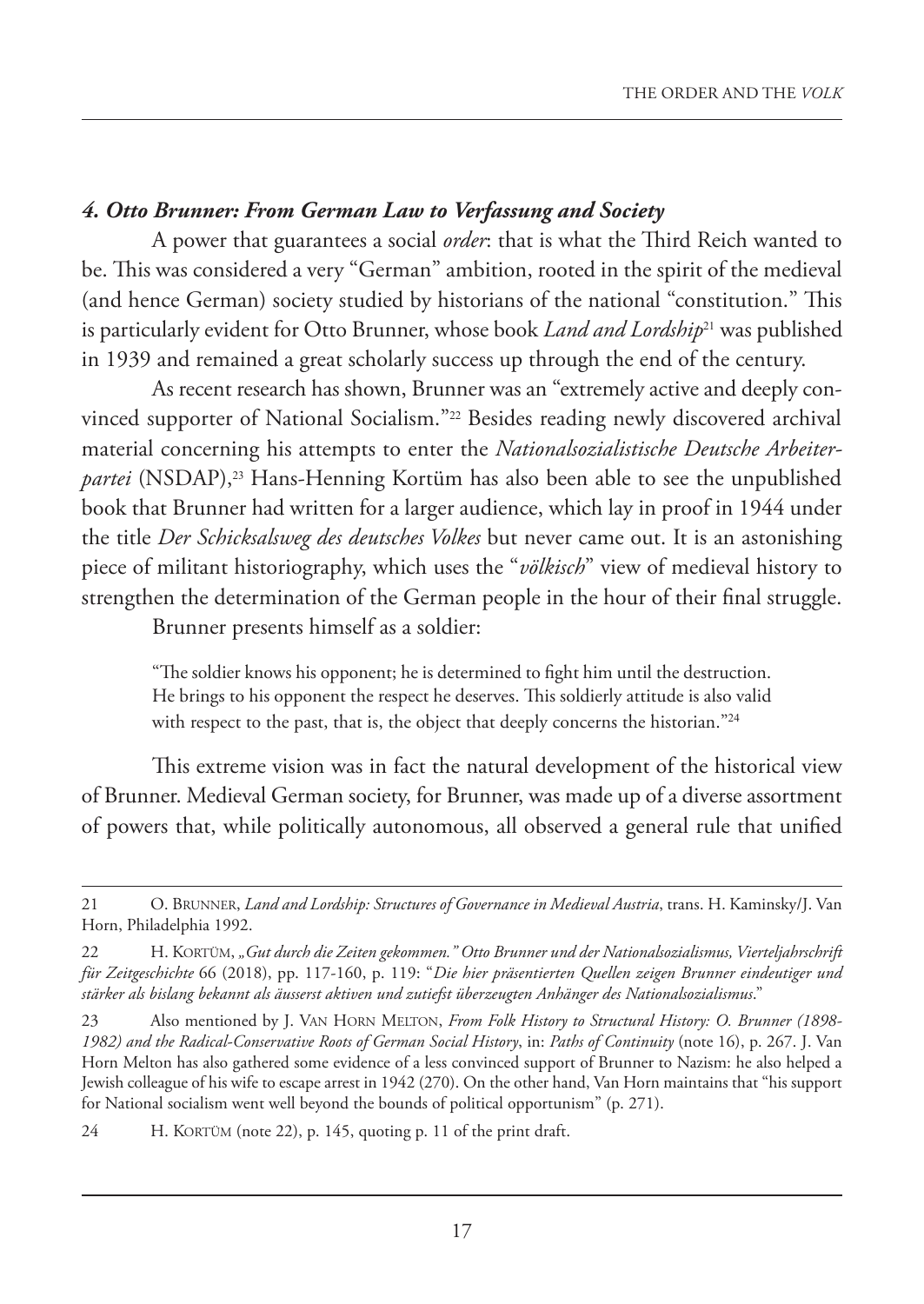## *4. Otto Brunner: From German Law to Verfassung and Society*

A power that guarantees a social *order*: that is what the Third Reich wanted to be. This was considered a very "German" ambition, rooted in the spirit of the medieval (and hence German) society studied by historians of the national "constitution." This is particularly evident for Otto Brunner, whose book *Land and Lordship*21 was published in 1939 and remained a great scholarly success up through the end of the century.

As recent research has shown, Brunner was an "extremely active and deeply convinced supporter of National Socialism."22 Besides reading newly discovered archival material concerning his attempts to enter the *Nationalsozialistische Deutsche Arbeiterpartei* (NSDAP),<sup>23</sup> Hans-Henning Kortüm has also been able to see the unpublished book that Brunner had written for a larger audience, which lay in proof in 1944 under the title *Der Schicksalsweg des deutsches Volkes* but never came out. It is an astonishing piece of militant historiography, which uses the "*völkisch*" view of medieval history to strengthen the determination of the German people in the hour of their final struggle.

Brunner presents himself as a soldier:

"The soldier knows his opponent; he is determined to fight him until the destruction. He brings to his opponent the respect he deserves. This soldierly attitude is also valid with respect to the past, that is, the object that deeply concerns the historian."<sup>24</sup>

This extreme vision was in fact the natural development of the historical view of Brunner. Medieval German society, for Brunner, was made up of a diverse assortment of powers that, while politically autonomous, all observed a general rule that unified

24 H. KORTÜM (note 22), p. 145, quoting p. 11 of the print draft.

<sup>21</sup> O. BRUNNER, *Land and Lordship: Structures of Governance in Medieval Austria*, trans. H. Kaminsky/J. Van Horn, Philadelphia 1992.

<sup>22</sup> H. KORTÜM, *"Gut durch die Zeiten gekommen." Otto Brunner und der Nationalsozialismus, Vierteljahrschrift für Zeitgeschichte* 66 (2018), pp. 117-160, p. 119: "*Die hier präsentierten Quellen zeigen Brunner eindeutiger und stärker als bislang bekannt als äusserst aktiven und zutiefst überzeugten Anhänger des Nationalsozialismus*."

<sup>23</sup> Also mentioned by J. VAN HORN MELTON, *From Folk History to Structural History: O. Brunner (1898- 1982) and the Radical-Conservative Roots of German Social History*, in: *Paths of Continuity* (note 16), p. 267. J. Van Horn Melton has also gathered some evidence of a less convinced support of Brunner to Nazism: he also helped a Jewish colleague of his wife to escape arrest in 1942 (270). On the other hand, Van Horn maintains that "his support for National socialism went well beyond the bounds of political opportunism" (p. 271).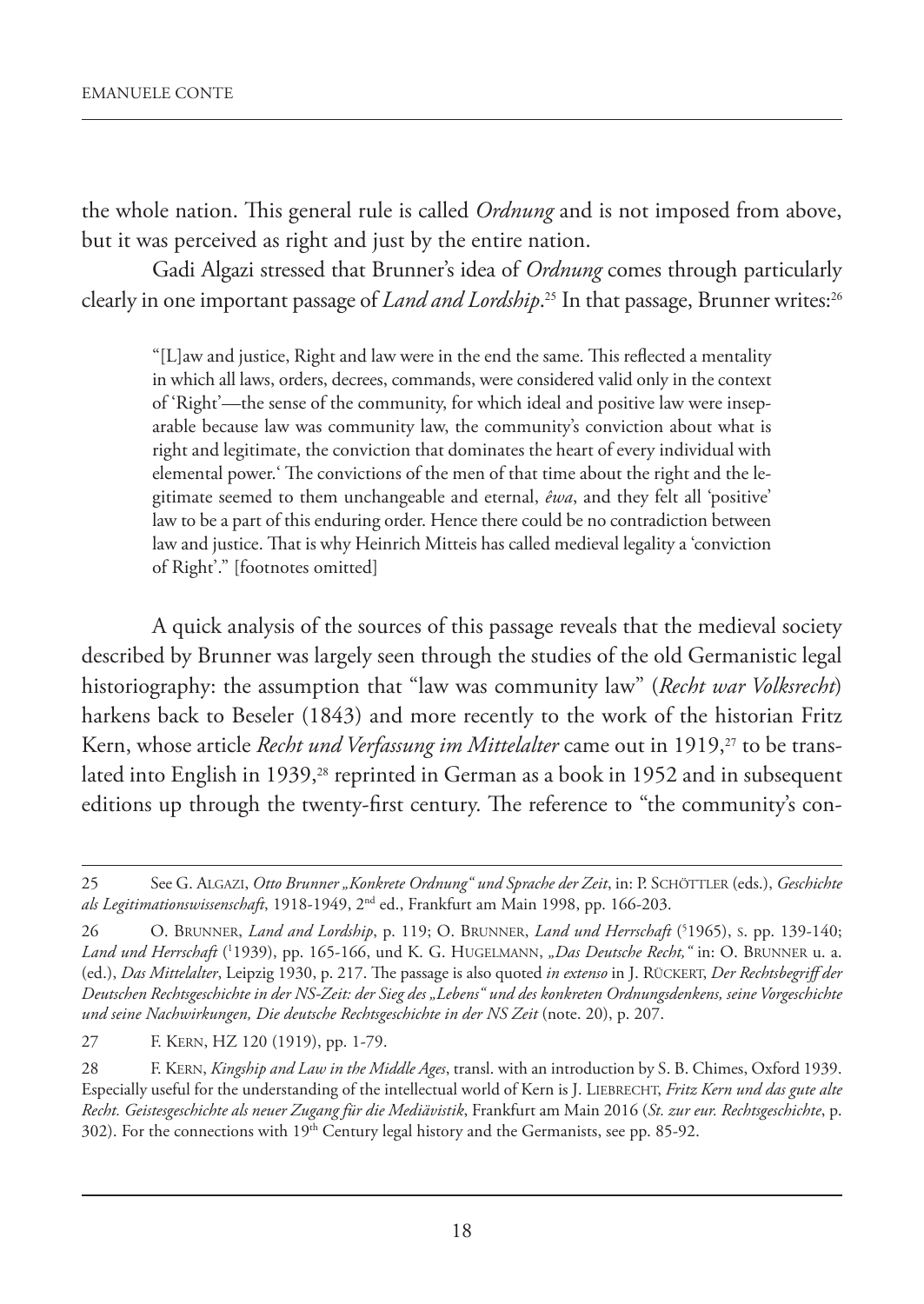the whole nation. This general rule is called *Ordnung* and is not imposed from above, but it was perceived as right and just by the entire nation.

Gadi Algazi stressed that Brunner's idea of *Ordnung* comes through particularly clearly in one important passage of *Land and Lordship*. <sup>25</sup> In that passage, Brunner writes:<sup>26</sup>

"[L]aw and justice, Right and law were in the end the same. This reflected a mentality in which all laws, orders, decrees, commands, were considered valid only in the context of 'Right'—the sense of the community, for which ideal and positive law were inseparable because law was community law, the community's conviction about what is right and legitimate, the conviction that dominates the heart of every individual with elemental power.' The convictions of the men of that time about the right and the legitimate seemed to them unchangeable and eternal, *êwa*, and they felt all 'positive' law to be a part of this enduring order. Hence there could be no contradiction between law and justice. That is why Heinrich Mitteis has called medieval legality a 'conviction of Right'." [footnotes omitted]

A quick analysis of the sources of this passage reveals that the medieval society described by Brunner was largely seen through the studies of the old Germanistic legal historiography: the assumption that "law was community law" (*Recht war Volksrecht*) harkens back to Beseler (1843) and more recently to the work of the historian Fritz Kern, whose article *Recht und Verfassung im Mittelalter* came out in 1919,<sup>27</sup> to be translated into English in 1939,<sup>28</sup> reprinted in German as a book in 1952 and in subsequent editions up through the twenty-first century. The reference to "the community's con-

27 F. KERN, HZ 120 (1919), pp. 1-79.

28 F. KERN, *Kingship and Law in the Middle Ages*, transl. with an introduction by S. B. Chimes, Oxford 1939. Especially useful for the understanding of the intellectual world of Kern is J. LIEBRECHT, *Fritz Kern und das gute alte Recht. Geistesgeschichte als neuer Zugang für die Mediävistik*, Frankfurt am Main 2016 (*St. zur eur. Rechtsgeschichte*, p. 302). For the connections with 19<sup>th</sup> Century legal history and the Germanists, see pp. 85-92.

<sup>25</sup> See G. ALGAZI, *Otto Brunner "Konkrete Ordnung" und Sprache der Zeit*, in: P. SCHÖTTLER (eds.), *Geschichte als Legitimationswissenschaft*, 1918-1949, 2nd ed., Frankfurt am Main 1998, pp. 166-203.

<sup>26</sup> O. BRUNNER, *Land and Lordship*, p. 119; O. BRUNNER, *Land und Herrschaft* (5 1965), S. pp. 139-140; *Land und Herrschaft* (1 1939), pp. 165-166, und K. G. HUGELMANN, *"Das Deutsche Recht,"* in: O. BRUNNER u. a. (ed.), *Das Mittelalter*, Leipzig 1930, p. 217. The passage is also quoted *in extenso* in J. RÜCKERT, *Der Rechtsbegriff der Deutschen Rechtsgeschichte in der NS-Zeit: der Sieg des "Lebens" und des konkreten Ordnungsdenkens, seine Vorgeschichte und seine Nachwirkungen, Die deutsche Rechtsgeschichte in der NS Zeit* (note. 20), p. 207.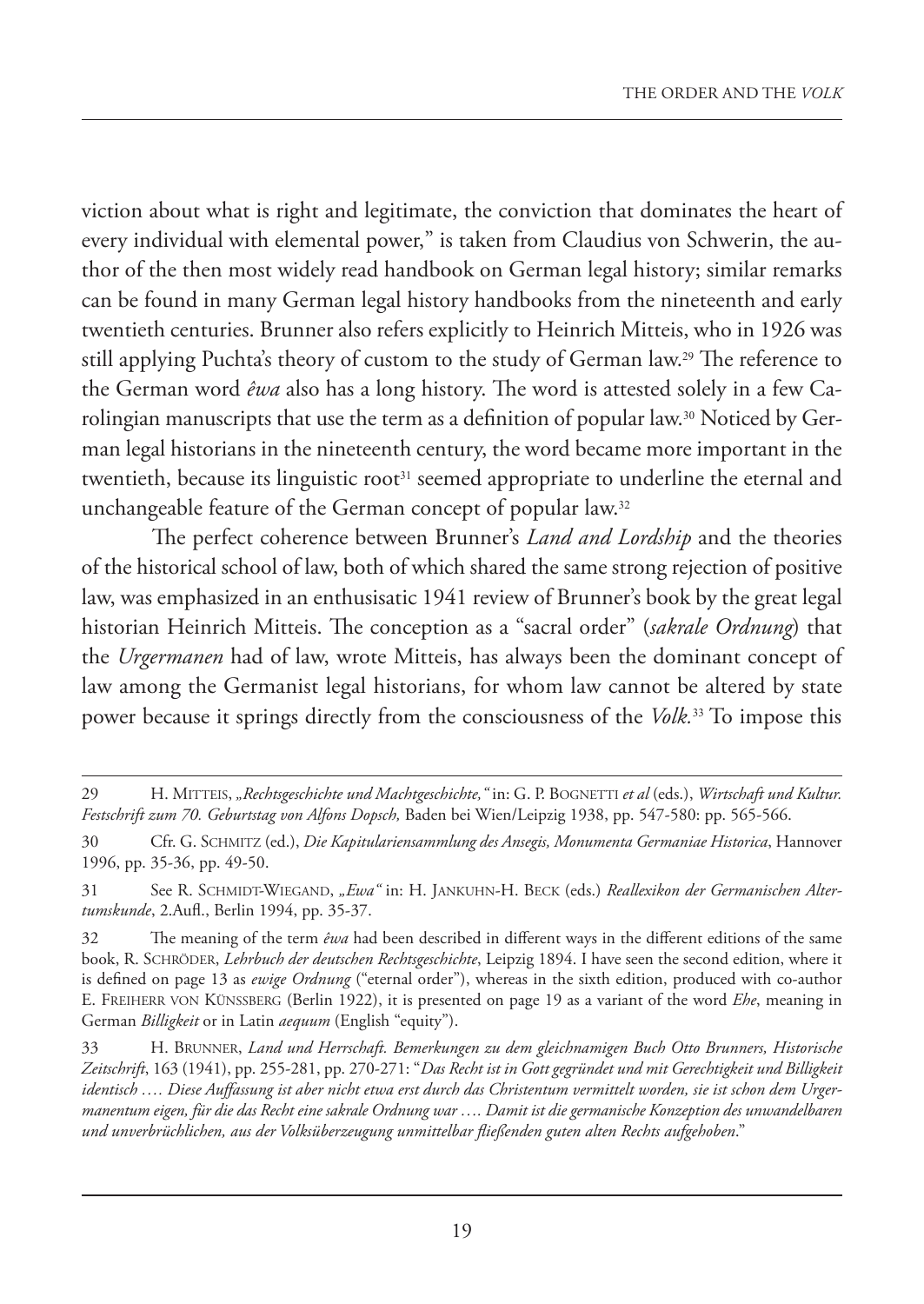viction about what is right and legitimate, the conviction that dominates the heart of every individual with elemental power," is taken from Claudius von Schwerin, the author of the then most widely read handbook on German legal history; similar remarks can be found in many German legal history handbooks from the nineteenth and early twentieth centuries. Brunner also refers explicitly to Heinrich Mitteis, who in 1926 was still applying Puchta's theory of custom to the study of German law.29 The reference to the German word *êwa* also has a long history. The word is attested solely in a few Carolingian manuscripts that use the term as a definition of popular law.30 Noticed by German legal historians in the nineteenth century, the word became more important in the twentieth, because its linguistic root<sup>31</sup> seemed appropriate to underline the eternal and unchangeable feature of the German concept of popular law.<sup>32</sup>

The perfect coherence between Brunner's *Land and Lordship* and the theories of the historical school of law, both of which shared the same strong rejection of positive law, was emphasized in an enthusisatic 1941 review of Brunner's book by the great legal historian Heinrich Mitteis. The conception as a "sacral order" (*sakrale Ordnung*) that the *Urgermanen* had of law, wrote Mitteis, has always been the dominant concept of law among the Germanist legal historians, for whom law cannot be altered by state power because it springs directly from the consciousness of the *Volk.*33 To impose this

<sup>29</sup> H. MITTEIS, *"Rechtsgeschichte und Machtgeschichte,"* in: G. P. BOGNETTI *et al* (eds.), *Wirtschaft und Kultur. Festschrift zum 70. Geburtstag von Alfons Dopsch,* Baden bei Wien/Leipzig 1938, pp. 547-580: pp. 565-566.

<sup>30</sup> Cfr. G. SCHMITZ (ed.), *Die Kapitulariensammlung des Ansegis, Monumenta Germaniae Historica*, Hannover 1996, pp. 35-36, pp. 49-50.

<sup>31</sup> See R. SCHMIDT-WIEGAND, *"Ewa"* in: H. JANKUHN-H. BECK (eds.) *Reallexikon der Germanischen Altertumskunde*, 2.Aufl., Berlin 1994, pp. 35-37.

<sup>32</sup> The meaning of the term *êwa* had been described in different ways in the different editions of the same book, R. SCHRÖDER, *Lehrbuch der deutschen Rechtsgeschichte*, Leipzig 1894. I have seen the second edition, where it is defined on page 13 as *ewige Ordnung* ("eternal order"), whereas in the sixth edition, produced with co-author E. FREIHERR VON KÜNSSBERG (Berlin 1922), it is presented on page 19 as a variant of the word *Ehe*, meaning in German *Billigkeit* or in Latin *aequum* (English "equity").

<sup>33</sup> H. BRUNNER, *Land und Herrschaft. Bemerkungen zu dem gleichnamigen Buch Otto Brunners, Historische Zeitschrift*, 163 (1941), pp. 255-281, pp. 270-271: "*Das Recht ist in Gott gegründet und mit Gerechtigkeit und Billigkeit identisch …. Diese Auffassung ist aber nicht etwa erst durch das Christentum vermittelt worden, sie ist schon dem Urgermanentum eigen, für die das Recht eine sakrale Ordnung war …. Damit ist die germanische Konzeption des unwandelbaren und unverbrüchlichen, aus der Volksüberzeugung unmittelbar fließenden guten alten Rechts aufgehoben*."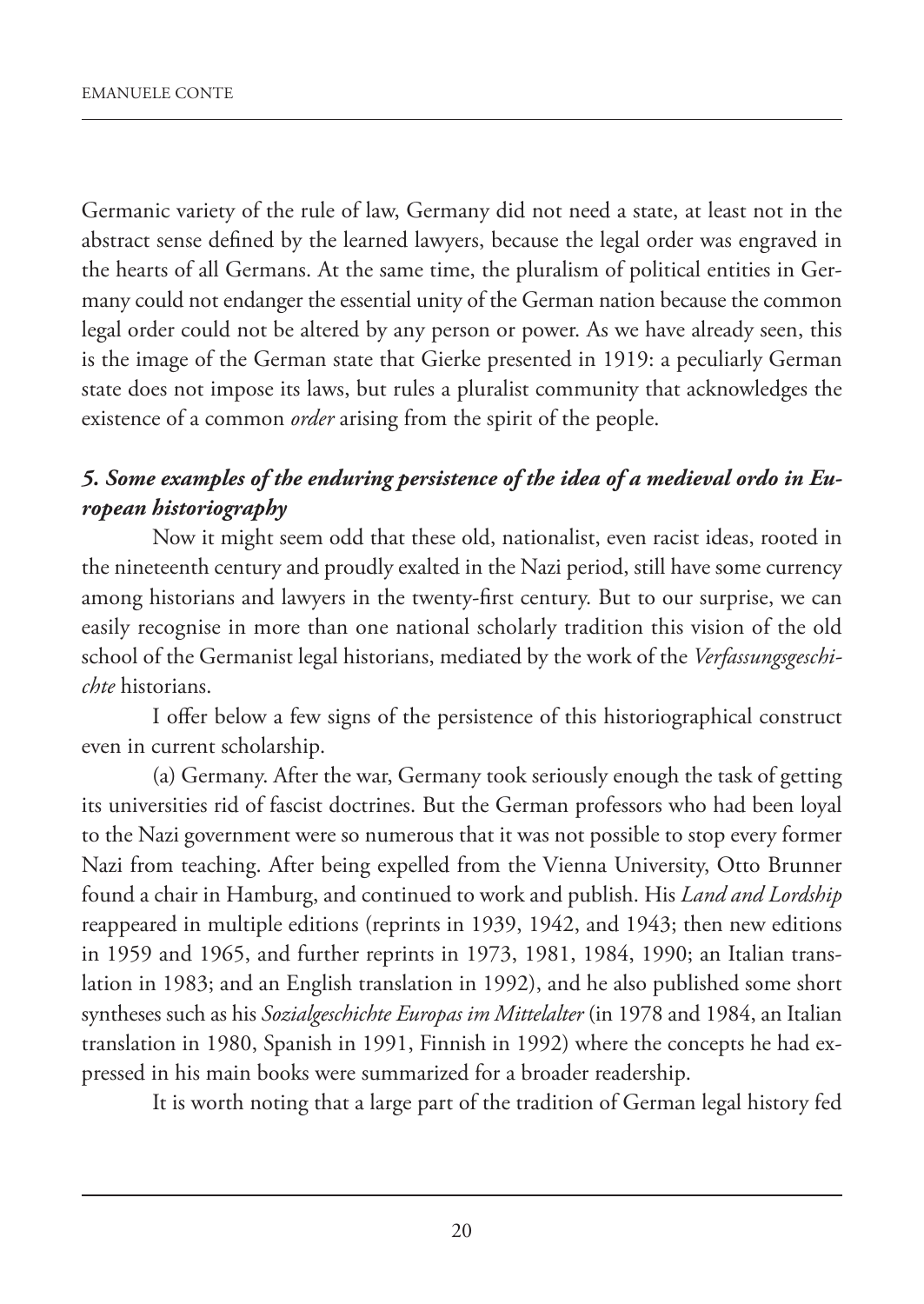Germanic variety of the rule of law, Germany did not need a state, at least not in the abstract sense defined by the learned lawyers, because the legal order was engraved in the hearts of all Germans. At the same time, the pluralism of political entities in Germany could not endanger the essential unity of the German nation because the common legal order could not be altered by any person or power. As we have already seen, this is the image of the German state that Gierke presented in 1919: a peculiarly German state does not impose its laws, but rules a pluralist community that acknowledges the existence of a common *order* arising from the spirit of the people.

## *5. Some examples of the enduring persistence of the idea of a medieval ordo in European historiography*

Now it might seem odd that these old, nationalist, even racist ideas, rooted in the nineteenth century and proudly exalted in the Nazi period, still have some currency among historians and lawyers in the twenty-first century. But to our surprise, we can easily recognise in more than one national scholarly tradition this vision of the old school of the Germanist legal historians, mediated by the work of the *Verfassungsgeschichte* historians.

I offer below a few signs of the persistence of this historiographical construct even in current scholarship.

(a) Germany. After the war, Germany took seriously enough the task of getting its universities rid of fascist doctrines. But the German professors who had been loyal to the Nazi government were so numerous that it was not possible to stop every former Nazi from teaching. After being expelled from the Vienna University, Otto Brunner found a chair in Hamburg, and continued to work and publish. His *Land and Lordship* reappeared in multiple editions (reprints in 1939, 1942, and 1943; then new editions in 1959 and 1965, and further reprints in 1973, 1981, 1984, 1990; an Italian translation in 1983; and an English translation in 1992), and he also published some short syntheses such as his *Sozialgeschichte Europas im Mittelalter* (in 1978 and 1984, an Italian translation in 1980, Spanish in 1991, Finnish in 1992) where the concepts he had expressed in his main books were summarized for a broader readership.

It is worth noting that a large part of the tradition of German legal history fed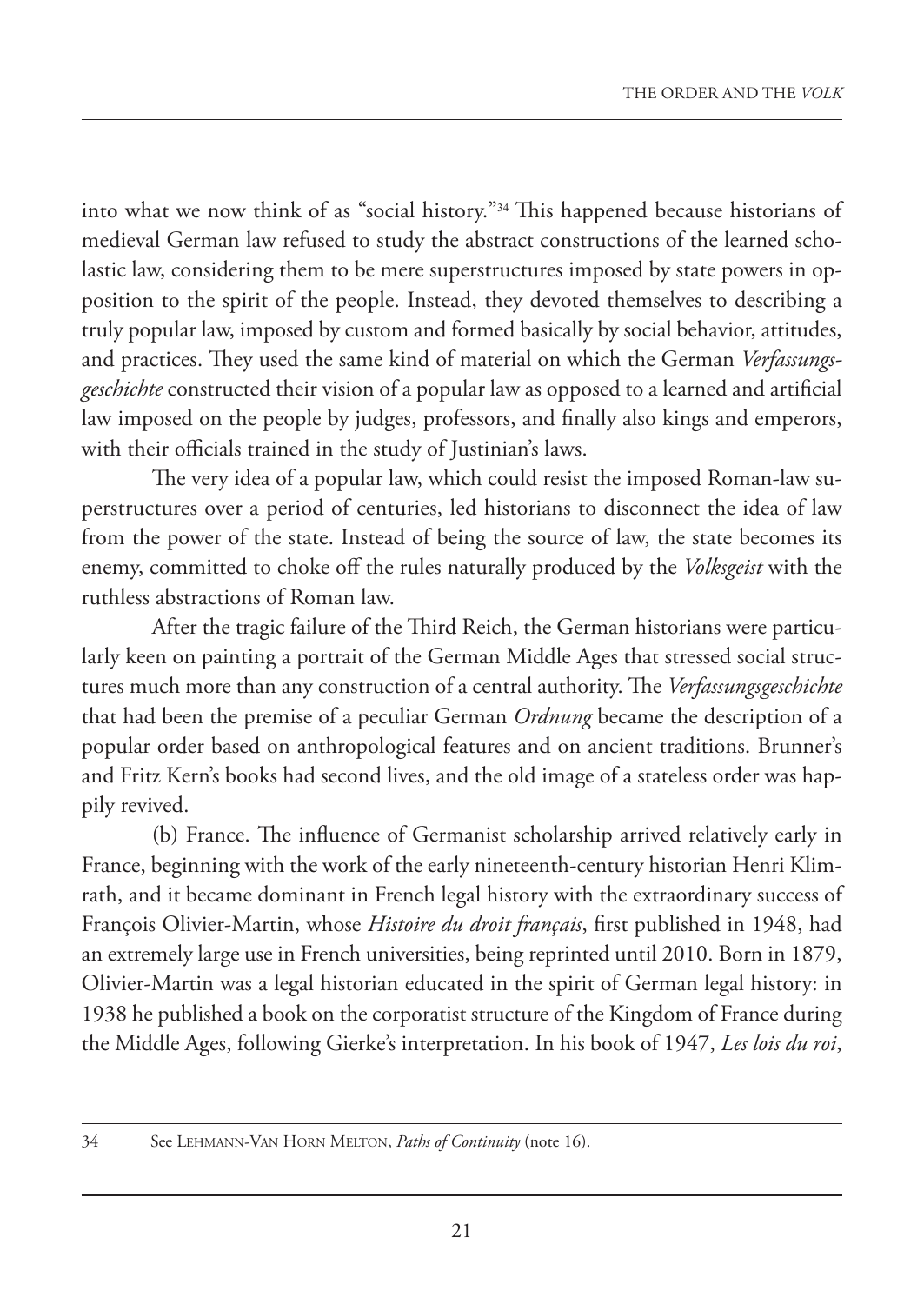into what we now think of as "social history."34 This happened because historians of medieval German law refused to study the abstract constructions of the learned scholastic law, considering them to be mere superstructures imposed by state powers in opposition to the spirit of the people. Instead, they devoted themselves to describing a truly popular law, imposed by custom and formed basically by social behavior, attitudes, and practices. They used the same kind of material on which the German *Verfassungsgeschichte* constructed their vision of a popular law as opposed to a learned and artificial law imposed on the people by judges, professors, and finally also kings and emperors, with their officials trained in the study of Justinian's laws.

The very idea of a popular law, which could resist the imposed Roman-law superstructures over a period of centuries, led historians to disconnect the idea of law from the power of the state. Instead of being the source of law, the state becomes its enemy, committed to choke off the rules naturally produced by the *Volksgeist* with the ruthless abstractions of Roman law.

After the tragic failure of the Third Reich, the German historians were particularly keen on painting a portrait of the German Middle Ages that stressed social structures much more than any construction of a central authority. The *Verfassungsgeschichte* that had been the premise of a peculiar German *Ordnung* became the description of a popular order based on anthropological features and on ancient traditions. Brunner's and Fritz Kern's books had second lives, and the old image of a stateless order was happily revived.

(b) France. The influence of Germanist scholarship arrived relatively early in France, beginning with the work of the early nineteenth-century historian Henri Klimrath, and it became dominant in French legal history with the extraordinary success of François Olivier-Martin, whose *Histoire du droit français*, first published in 1948, had an extremely large use in French universities, being reprinted until 2010. Born in 1879, Olivier-Martin was a legal historian educated in the spirit of German legal history: in 1938 he published a book on the corporatist structure of the Kingdom of France during the Middle Ages, following Gierke's interpretation. In his book of 1947, *Les lois du roi*,

<sup>34</sup> See LEHMANN-VAN HORN MELTON, *Paths of Continuity* (note 16).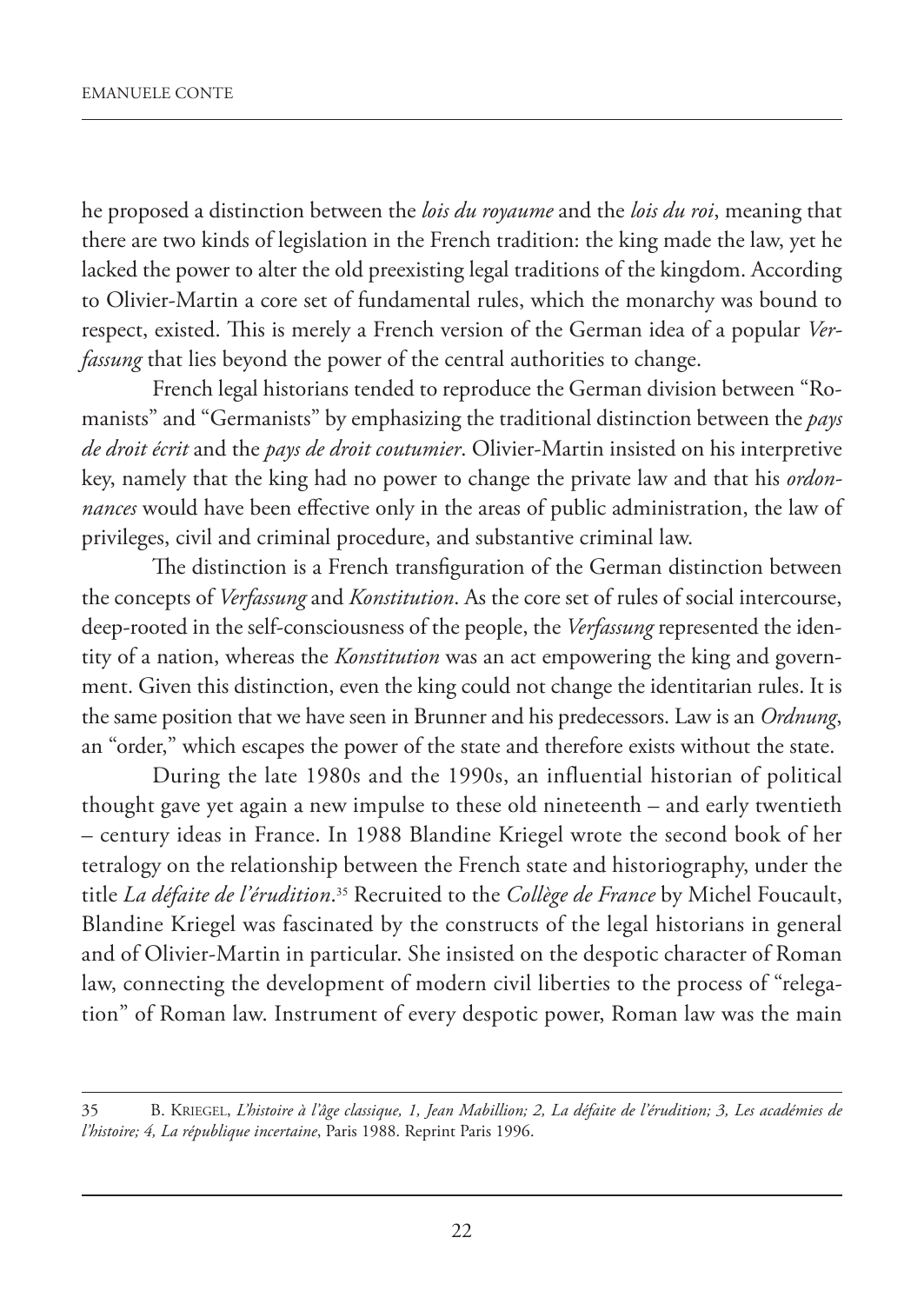he proposed a distinction between the *lois du royaume* and the *lois du roi*, meaning that there are two kinds of legislation in the French tradition: the king made the law, yet he lacked the power to alter the old preexisting legal traditions of the kingdom. According to Olivier-Martin a core set of fundamental rules, which the monarchy was bound to respect, existed. This is merely a French version of the German idea of a popular *Verfassung* that lies beyond the power of the central authorities to change.

French legal historians tended to reproduce the German division between "Romanists" and "Germanists" by emphasizing the traditional distinction between the *pays de droit écrit* and the *pays de droit coutumier*. Olivier-Martin insisted on his interpretive key, namely that the king had no power to change the private law and that his *ordonnances* would have been effective only in the areas of public administration, the law of privileges, civil and criminal procedure, and substantive criminal law.

The distinction is a French transfiguration of the German distinction between the concepts of *Verfassung* and *Konstitution*. As the core set of rules of social intercourse, deep-rooted in the self-consciousness of the people, the *Verfassung* represented the identity of a nation, whereas the *Konstitution* was an act empowering the king and government. Given this distinction, even the king could not change the identitarian rules. It is the same position that we have seen in Brunner and his predecessors. Law is an *Ordnung*, an "order," which escapes the power of the state and therefore exists without the state.

During the late 1980s and the 1990s, an influential historian of political thought gave yet again a new impulse to these old nineteenth – and early twentieth – century ideas in France. In 1988 Blandine Kriegel wrote the second book of her tetralogy on the relationship between the French state and historiography, under the title *La défaite de l'érudition*. <sup>35</sup> Recruited to the *Collège de France* by Michel Foucault, Blandine Kriegel was fascinated by the constructs of the legal historians in general and of Olivier-Martin in particular. She insisted on the despotic character of Roman law, connecting the development of modern civil liberties to the process of "relegation" of Roman law. Instrument of every despotic power, Roman law was the main

<sup>35</sup> B. KRIEGEL, *L'histoire à l'âge classique, 1, Jean Mabillion; 2, La défaite de l'érudition; 3, Les académies de l'histoire; 4, La république incertaine*, Paris 1988. Reprint Paris 1996.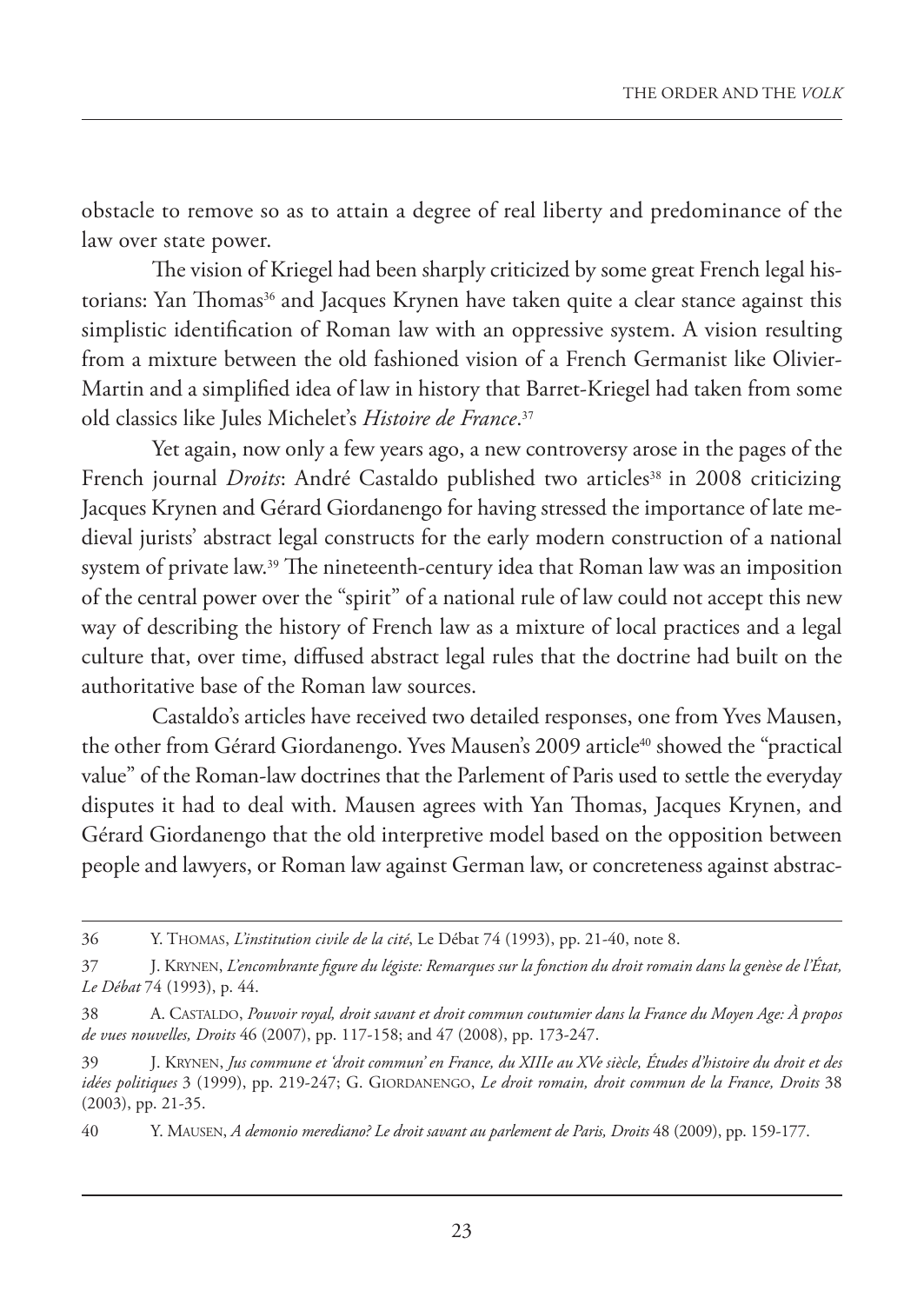obstacle to remove so as to attain a degree of real liberty and predominance of the law over state power.

The vision of Kriegel had been sharply criticized by some great French legal historians: Yan Thomas<sup>36</sup> and Jacques Krynen have taken quite a clear stance against this simplistic identification of Roman law with an oppressive system. A vision resulting from a mixture between the old fashioned vision of a French Germanist like Olivier-Martin and a simplified idea of law in history that Barret-Kriegel had taken from some old classics like Jules Michelet's *Histoire de France*. 37

Yet again, now only a few years ago, a new controversy arose in the pages of the French journal *Droits*: André Castaldo published two articles<sup>38</sup> in 2008 criticizing Jacques Krynen and Gérard Giordanengo for having stressed the importance of late medieval jurists' abstract legal constructs for the early modern construction of a national system of private law.39 The nineteenth-century idea that Roman law was an imposition of the central power over the "spirit" of a national rule of law could not accept this new way of describing the history of French law as a mixture of local practices and a legal culture that, over time, diffused abstract legal rules that the doctrine had built on the authoritative base of the Roman law sources.

Castaldo's articles have received two detailed responses, one from Yves Mausen, the other from Gérard Giordanengo. Yves Mausen's 2009 article<sup>40</sup> showed the "practical value" of the Roman-law doctrines that the Parlement of Paris used to settle the everyday disputes it had to deal with. Mausen agrees with Yan Thomas, Jacques Krynen, and Gérard Giordanengo that the old interpretive model based on the opposition between people and lawyers, or Roman law against German law, or concreteness against abstrac-

<sup>36</sup> Y. THOMAS, *L'institution civile de la cité*, Le Débat 74 (1993), pp. 21-40, note 8.

<sup>37</sup> J. KRYNEN, *L'encombrante figure du légiste: Remarques sur la fonction du droit romain dans la genèse de l'État, Le Débat* 74 (1993), p. 44.

<sup>38</sup> A. CASTALDO, *Pouvoir royal, droit savant et droit commun coutumier dans la France du Moyen Age: À propos de vues nouvelles, Droits* 46 (2007), pp. 117-158; and 47 (2008), pp. 173-247.

<sup>39</sup> J. KRYNEN, *Jus commune et 'droit commun' en France, du XIIIe au XVe siècle, Études d'histoire du droit et des idées politiques* 3 (1999), pp. 219-247; G. GIORDANENGO, *Le droit romain, droit commun de la France, Droits* 38 (2003), pp. 21-35.

<sup>40</sup> Y. MAUSEN, *A demonio merediano? Le droit savant au parlement de Paris, Droits* 48 (2009), pp. 159-177.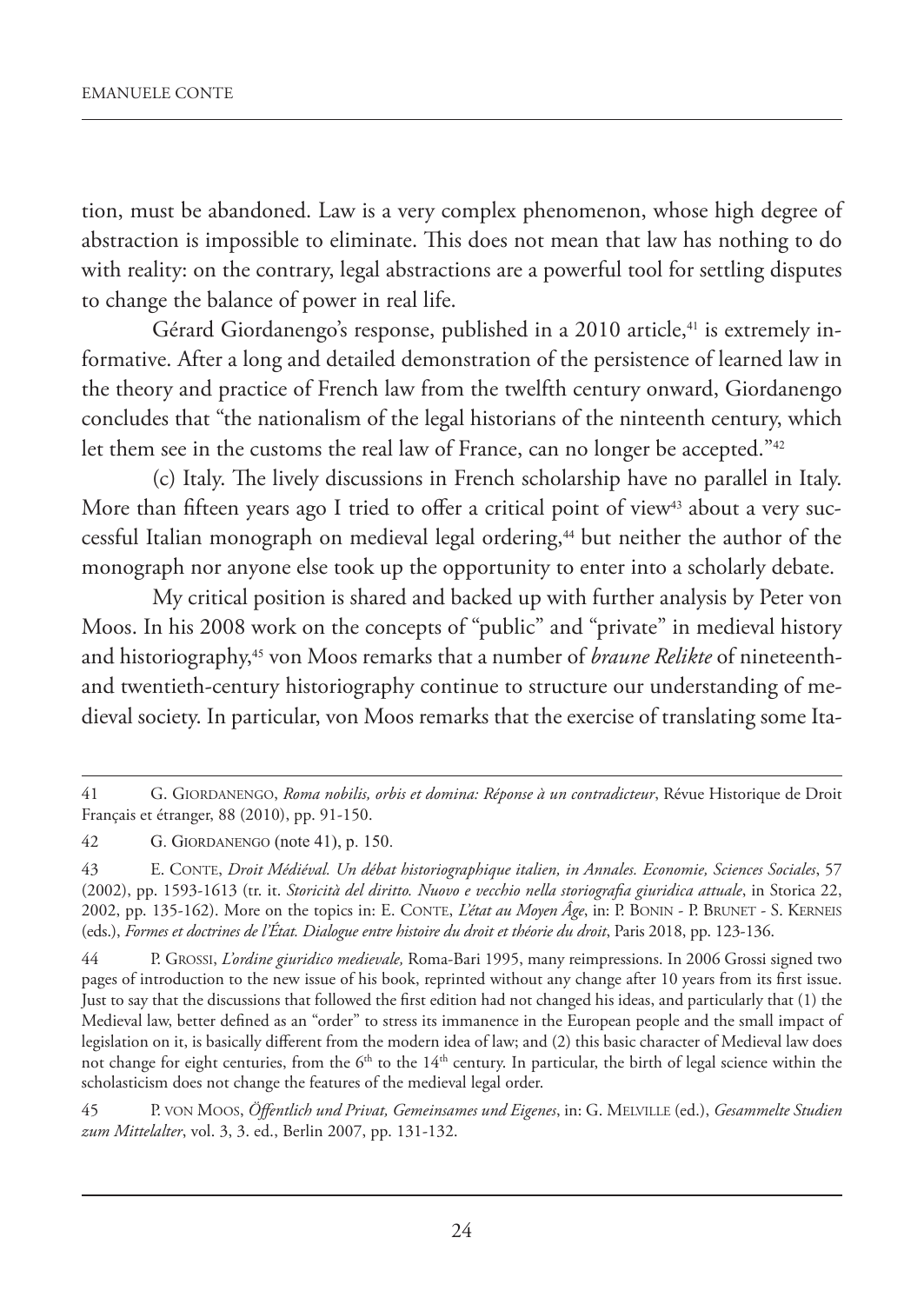tion, must be abandoned. Law is a very complex phenomenon, whose high degree of abstraction is impossible to eliminate. This does not mean that law has nothing to do with reality: on the contrary, legal abstractions are a powerful tool for settling disputes to change the balance of power in real life.

Gérard Giordanengo's response, published in a 2010 article, 41 is extremely informative. After a long and detailed demonstration of the persistence of learned law in the theory and practice of French law from the twelfth century onward, Giordanengo concludes that "the nationalism of the legal historians of the ninteenth century, which let them see in the customs the real law of France, can no longer be accepted."<sup>42</sup>

(c) Italy. The lively discussions in French scholarship have no parallel in Italy. More than fifteen years ago I tried to offer a critical point of view<sup>43</sup> about a very successful Italian monograph on medieval legal ordering,<sup>44</sup> but neither the author of the monograph nor anyone else took up the opportunity to enter into a scholarly debate.

My critical position is shared and backed up with further analysis by Peter von Moos. In his 2008 work on the concepts of "public" and "private" in medieval history and historiography,45 von Moos remarks that a number of *braune Relikte* of nineteenthand twentieth-century historiography continue to structure our understanding of medieval society. In particular, von Moos remarks that the exercise of translating some Ita-

44 P. GROSSI, *L'ordine giuridico medievale,* Roma-Bari 1995, many reimpressions. In 2006 Grossi signed two pages of introduction to the new issue of his book, reprinted without any change after 10 years from its first issue. Just to say that the discussions that followed the first edition had not changed his ideas, and particularly that (1) the Medieval law, better defined as an "order" to stress its immanence in the European people and the small impact of legislation on it, is basically different from the modern idea of law; and (2) this basic character of Medieval law does not change for eight centuries, from the  $6<sup>th</sup>$  to the  $14<sup>th</sup>$  century. In particular, the birth of legal science within the scholasticism does not change the features of the medieval legal order.

45 P. VON MOOS, *Öffentlich und Privat, Gemeinsames und Eigenes*, in: G. MELVILLE (ed.), *Gesammelte Studien zum Mittelalter*, vol. 3, 3. ed., Berlin 2007, pp. 131-132.

<sup>41</sup> G. GIORDANENGO, *Roma nobilis, orbis et domina: Réponse à un contradicteur*, Révue Historique de Droit Français et étranger, 88 (2010), pp. 91-150.

<sup>42</sup> G. GIORDANENGO (note 41), p. 150.

<sup>43</sup> E. CONTE, *Droit Médiéval. Un débat historiographique italien, in Annales. Economie, Sciences Sociales*, 57 (2002), pp. 1593-1613 (tr. it. *Storicità del diritto. Nuovo e vecchio nella storiografia giuridica attuale*, in Storica 22, 2002, pp. 135-162). More on the topics in: E. CONTE, *L'état au Moyen Âge*, in: P. BONIN - P. BRUNET - S. KERNEIS (eds.), *Formes et doctrines de l'État. Dialogue entre histoire du droit et théorie du droit*, Paris 2018, pp. 123-136.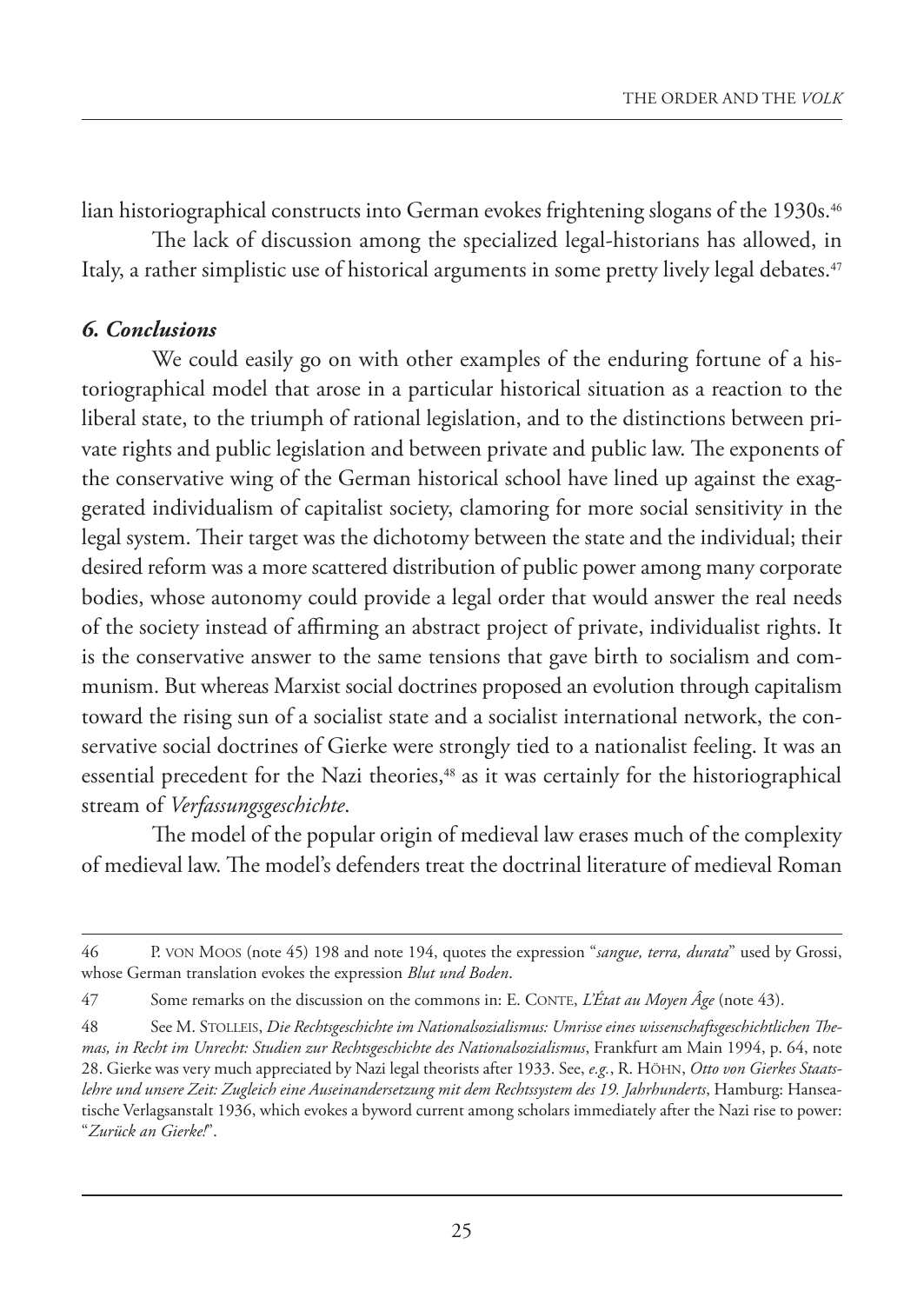lian historiographical constructs into German evokes frightening slogans of the 1930s.<sup>46</sup>

The lack of discussion among the specialized legal-historians has allowed, in Italy, a rather simplistic use of historical arguments in some pretty lively legal debates.<sup>47</sup>

#### *6. Conclusions*

We could easily go on with other examples of the enduring fortune of a historiographical model that arose in a particular historical situation as a reaction to the liberal state, to the triumph of rational legislation, and to the distinctions between private rights and public legislation and between private and public law. The exponents of the conservative wing of the German historical school have lined up against the exaggerated individualism of capitalist society, clamoring for more social sensitivity in the legal system. Their target was the dichotomy between the state and the individual; their desired reform was a more scattered distribution of public power among many corporate bodies, whose autonomy could provide a legal order that would answer the real needs of the society instead of affirming an abstract project of private, individualist rights. It is the conservative answer to the same tensions that gave birth to socialism and communism. But whereas Marxist social doctrines proposed an evolution through capitalism toward the rising sun of a socialist state and a socialist international network, the conservative social doctrines of Gierke were strongly tied to a nationalist feeling. It was an essential precedent for the Nazi theories,<sup>48</sup> as it was certainly for the historiographical stream of *Verfassungsgeschichte*.

The model of the popular origin of medieval law erases much of the complexity of medieval law. The model's defenders treat the doctrinal literature of medieval Roman

<sup>46</sup> P. VON MOOS (note 45) 198 and note 194, quotes the expression "*sangue, terra, durata*" used by Grossi, whose German translation evokes the expression *Blut und Boden*.

<sup>47</sup> Some remarks on the discussion on the commons in: E. CONTE, *L'État au Moyen Âge* (note 43).

<sup>48</sup> See M. STOLLEIS, *Die Rechtsgeschichte im Nationalsozialismus: Umrisse eines wissenschaftsgeschichtlichen Themas, in Recht im Unrecht: Studien zur Rechtsgeschichte des Nationalsozialismus*, Frankfurt am Main 1994, p. 64, note 28. Gierke was very much appreciated by Nazi legal theorists after 1933. See, *e.g.*, R. HÖHN, *Otto von Gierkes Staatslehre und unsere Zeit: Zugleich eine Auseinandersetzung mit dem Rechtssystem des 19. Jahrhunderts*, Hamburg: Hanseatische Verlagsanstalt 1936, which evokes a byword current among scholars immediately after the Nazi rise to power: "*Zurück an Gierke!*".